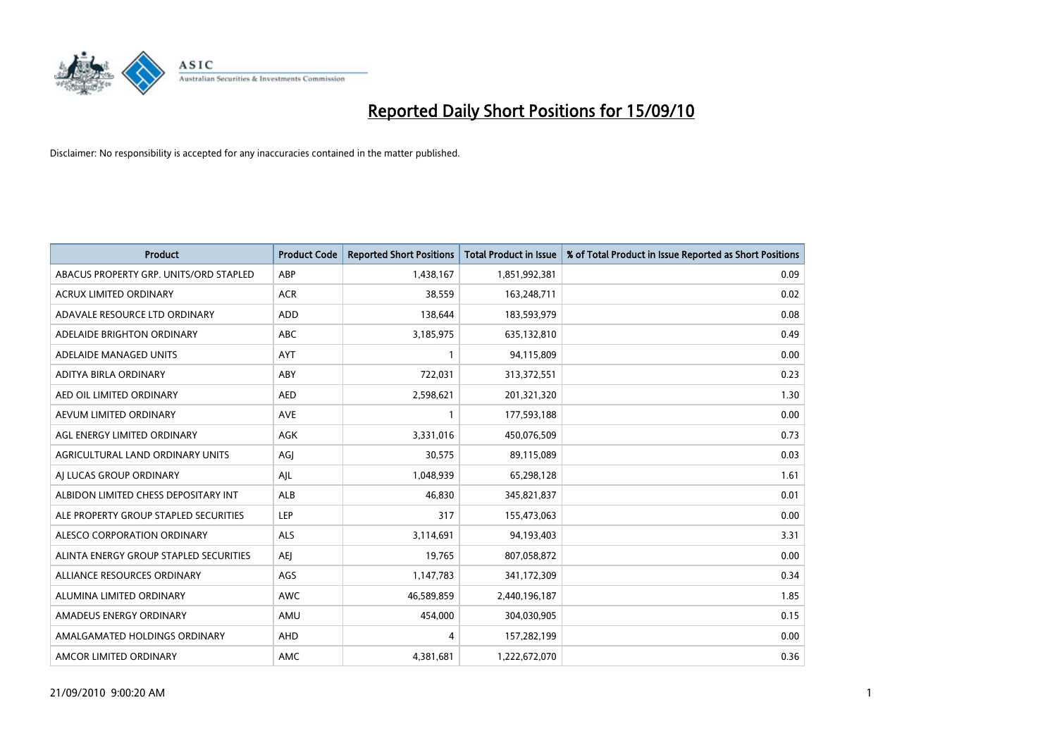

| <b>Product</b>                         | <b>Product Code</b> | <b>Reported Short Positions</b> | <b>Total Product in Issue</b> | % of Total Product in Issue Reported as Short Positions |
|----------------------------------------|---------------------|---------------------------------|-------------------------------|---------------------------------------------------------|
| ABACUS PROPERTY GRP. UNITS/ORD STAPLED | ABP                 | 1,438,167                       | 1,851,992,381                 | 0.09                                                    |
| ACRUX LIMITED ORDINARY                 | <b>ACR</b>          | 38,559                          | 163,248,711                   | 0.02                                                    |
| ADAVALE RESOURCE LTD ORDINARY          | ADD                 | 138,644                         | 183,593,979                   | 0.08                                                    |
| ADELAIDE BRIGHTON ORDINARY             | <b>ABC</b>          | 3,185,975                       | 635,132,810                   | 0.49                                                    |
| ADELAIDE MANAGED UNITS                 | <b>AYT</b>          |                                 | 94,115,809                    | 0.00                                                    |
| ADITYA BIRLA ORDINARY                  | ABY                 | 722,031                         | 313,372,551                   | 0.23                                                    |
| AED OIL LIMITED ORDINARY               | <b>AED</b>          | 2,598,621                       | 201,321,320                   | 1.30                                                    |
| AEVUM LIMITED ORDINARY                 | <b>AVE</b>          |                                 | 177,593,188                   | 0.00                                                    |
| AGL ENERGY LIMITED ORDINARY            | AGK                 | 3,331,016                       | 450,076,509                   | 0.73                                                    |
| AGRICULTURAL LAND ORDINARY UNITS       | AGJ                 | 30,575                          | 89,115,089                    | 0.03                                                    |
| AJ LUCAS GROUP ORDINARY                | AJL                 | 1,048,939                       | 65,298,128                    | 1.61                                                    |
| ALBIDON LIMITED CHESS DEPOSITARY INT   | <b>ALB</b>          | 46.830                          | 345,821,837                   | 0.01                                                    |
| ALE PROPERTY GROUP STAPLED SECURITIES  | LEP                 | 317                             | 155,473,063                   | 0.00                                                    |
| ALESCO CORPORATION ORDINARY            | ALS                 | 3,114,691                       | 94,193,403                    | 3.31                                                    |
| ALINTA ENERGY GROUP STAPLED SECURITIES | <b>AEI</b>          | 19,765                          | 807,058,872                   | 0.00                                                    |
| ALLIANCE RESOURCES ORDINARY            | AGS                 | 1,147,783                       | 341,172,309                   | 0.34                                                    |
| ALUMINA LIMITED ORDINARY               | <b>AWC</b>          | 46,589,859                      | 2,440,196,187                 | 1.85                                                    |
| AMADEUS ENERGY ORDINARY                | AMU                 | 454,000                         | 304,030,905                   | 0.15                                                    |
| AMALGAMATED HOLDINGS ORDINARY          | AHD                 | 4                               | 157,282,199                   | 0.00                                                    |
| AMCOR LIMITED ORDINARY                 | AMC                 | 4,381,681                       | 1,222,672,070                 | 0.36                                                    |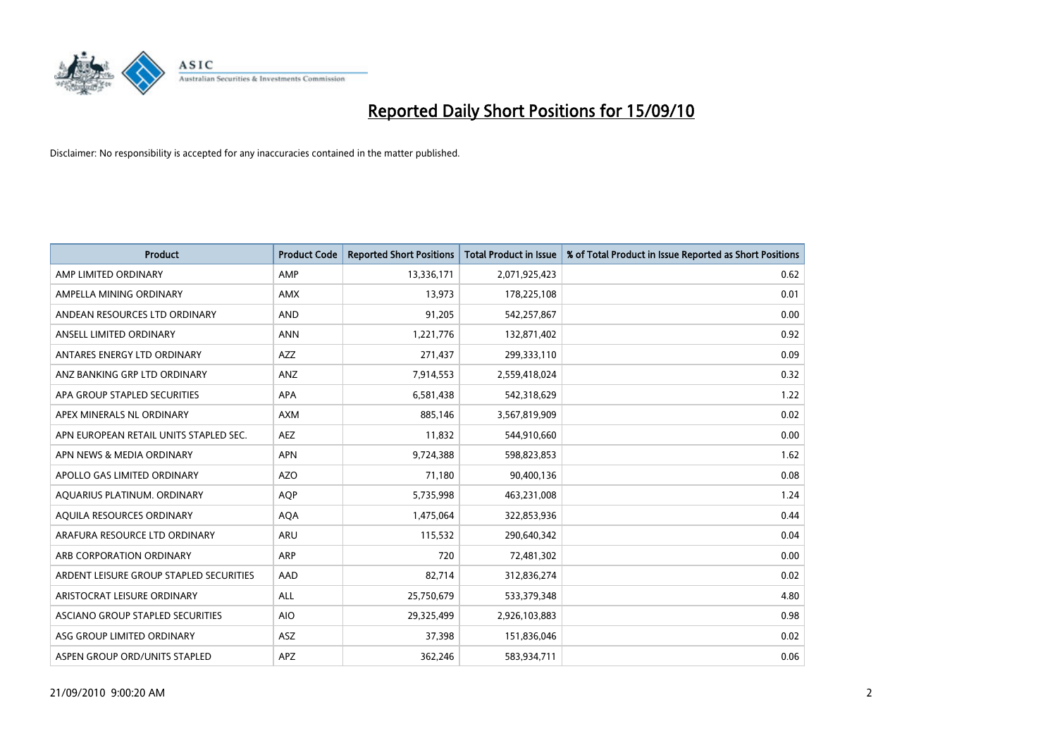

| <b>Product</b>                          | <b>Product Code</b> | <b>Reported Short Positions</b> | Total Product in Issue | % of Total Product in Issue Reported as Short Positions |
|-----------------------------------------|---------------------|---------------------------------|------------------------|---------------------------------------------------------|
| AMP LIMITED ORDINARY                    | AMP                 | 13,336,171                      | 2,071,925,423          | 0.62                                                    |
| AMPELLA MINING ORDINARY                 | AMX                 | 13,973                          | 178,225,108            | 0.01                                                    |
| ANDEAN RESOURCES LTD ORDINARY           | <b>AND</b>          | 91,205                          | 542,257,867            | 0.00                                                    |
| ANSELL LIMITED ORDINARY                 | <b>ANN</b>          | 1,221,776                       | 132,871,402            | 0.92                                                    |
| ANTARES ENERGY LTD ORDINARY             | <b>AZZ</b>          | 271,437                         | 299,333,110            | 0.09                                                    |
| ANZ BANKING GRP LTD ORDINARY            | ANZ                 | 7,914,553                       | 2,559,418,024          | 0.32                                                    |
| APA GROUP STAPLED SECURITIES            | <b>APA</b>          | 6,581,438                       | 542,318,629            | 1.22                                                    |
| APEX MINERALS NL ORDINARY               | <b>AXM</b>          | 885,146                         | 3,567,819,909          | 0.02                                                    |
| APN EUROPEAN RETAIL UNITS STAPLED SEC.  | <b>AEZ</b>          | 11,832                          | 544,910,660            | 0.00                                                    |
| APN NEWS & MEDIA ORDINARY               | <b>APN</b>          | 9,724,388                       | 598,823,853            | 1.62                                                    |
| APOLLO GAS LIMITED ORDINARY             | <b>AZO</b>          | 71,180                          | 90,400,136             | 0.08                                                    |
| AQUARIUS PLATINUM. ORDINARY             | <b>AOP</b>          | 5,735,998                       | 463,231,008            | 1.24                                                    |
| AQUILA RESOURCES ORDINARY               | <b>AQA</b>          | 1,475,064                       | 322,853,936            | 0.44                                                    |
| ARAFURA RESOURCE LTD ORDINARY           | <b>ARU</b>          | 115,532                         | 290,640,342            | 0.04                                                    |
| ARB CORPORATION ORDINARY                | <b>ARP</b>          | 720                             | 72,481,302             | 0.00                                                    |
| ARDENT LEISURE GROUP STAPLED SECURITIES | AAD                 | 82,714                          | 312,836,274            | 0.02                                                    |
| ARISTOCRAT LEISURE ORDINARY             | <b>ALL</b>          | 25,750,679                      | 533,379,348            | 4.80                                                    |
| ASCIANO GROUP STAPLED SECURITIES        | <b>AIO</b>          | 29,325,499                      | 2,926,103,883          | 0.98                                                    |
| ASG GROUP LIMITED ORDINARY              | <b>ASZ</b>          | 37,398                          | 151,836,046            | 0.02                                                    |
| ASPEN GROUP ORD/UNITS STAPLED           | <b>APZ</b>          | 362,246                         | 583,934,711            | 0.06                                                    |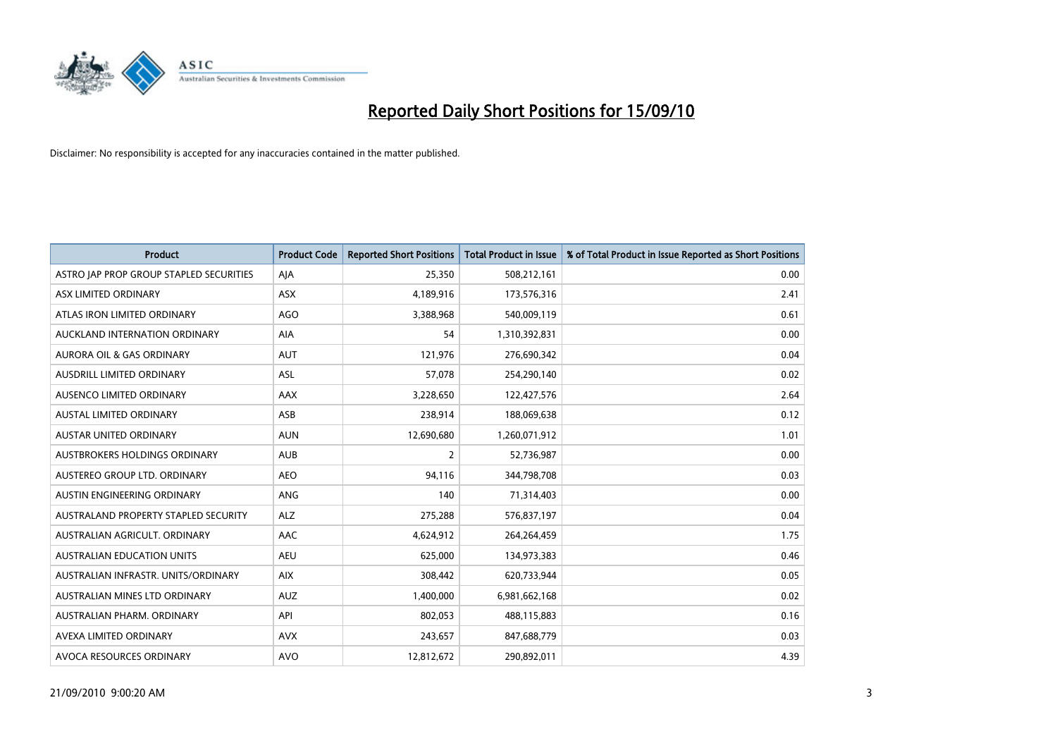

| <b>Product</b>                          | <b>Product Code</b> | <b>Reported Short Positions</b> | Total Product in Issue | % of Total Product in Issue Reported as Short Positions |
|-----------------------------------------|---------------------|---------------------------------|------------------------|---------------------------------------------------------|
| ASTRO JAP PROP GROUP STAPLED SECURITIES | AJA                 | 25,350                          | 508,212,161            | 0.00                                                    |
| ASX LIMITED ORDINARY                    | <b>ASX</b>          | 4,189,916                       | 173,576,316            | 2.41                                                    |
| ATLAS IRON LIMITED ORDINARY             | AGO                 | 3,388,968                       | 540,009,119            | 0.61                                                    |
| AUCKLAND INTERNATION ORDINARY           | AIA                 | 54                              | 1,310,392,831          | 0.00                                                    |
| <b>AURORA OIL &amp; GAS ORDINARY</b>    | <b>AUT</b>          | 121,976                         | 276,690,342            | 0.04                                                    |
| AUSDRILL LIMITED ORDINARY               | <b>ASL</b>          | 57,078                          | 254,290,140            | 0.02                                                    |
| AUSENCO LIMITED ORDINARY                | AAX                 | 3,228,650                       | 122,427,576            | 2.64                                                    |
| AUSTAL LIMITED ORDINARY                 | ASB                 | 238,914                         | 188,069,638            | 0.12                                                    |
| <b>AUSTAR UNITED ORDINARY</b>           | <b>AUN</b>          | 12,690,680                      | 1,260,071,912          | 1.01                                                    |
| AUSTBROKERS HOLDINGS ORDINARY           | <b>AUB</b>          | $\overline{2}$                  | 52,736,987             | 0.00                                                    |
| AUSTEREO GROUP LTD. ORDINARY            | <b>AEO</b>          | 94,116                          | 344,798,708            | 0.03                                                    |
| AUSTIN ENGINEERING ORDINARY             | ANG                 | 140                             | 71,314,403             | 0.00                                                    |
| AUSTRALAND PROPERTY STAPLED SECURITY    | <b>ALZ</b>          | 275,288                         | 576,837,197            | 0.04                                                    |
| AUSTRALIAN AGRICULT, ORDINARY           | AAC                 | 4,624,912                       | 264,264,459            | 1.75                                                    |
| <b>AUSTRALIAN EDUCATION UNITS</b>       | <b>AEU</b>          | 625,000                         | 134,973,383            | 0.46                                                    |
| AUSTRALIAN INFRASTR. UNITS/ORDINARY     | <b>AIX</b>          | 308,442                         | 620,733,944            | 0.05                                                    |
| AUSTRALIAN MINES LTD ORDINARY           | <b>AUZ</b>          | 1,400,000                       | 6,981,662,168          | 0.02                                                    |
| AUSTRALIAN PHARM. ORDINARY              | API                 | 802,053                         | 488,115,883            | 0.16                                                    |
| AVEXA LIMITED ORDINARY                  | <b>AVX</b>          | 243,657                         | 847,688,779            | 0.03                                                    |
| AVOCA RESOURCES ORDINARY                | <b>AVO</b>          | 12,812,672                      | 290,892,011            | 4.39                                                    |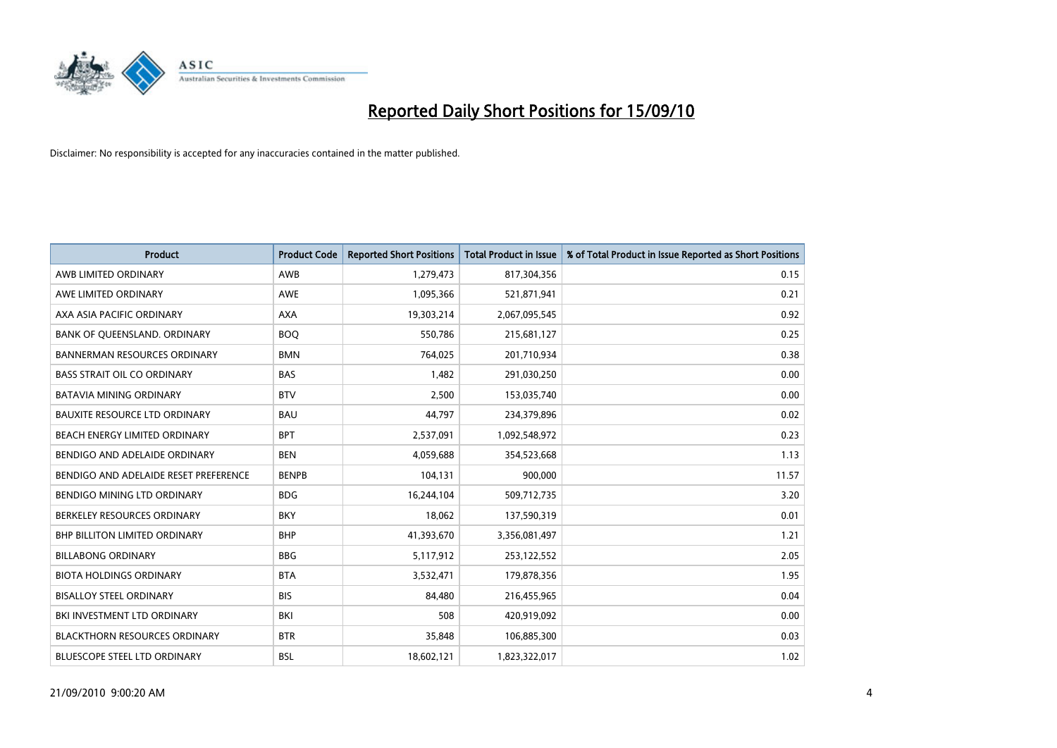

| <b>Product</b>                        | <b>Product Code</b> | <b>Reported Short Positions</b> | <b>Total Product in Issue</b> | % of Total Product in Issue Reported as Short Positions |
|---------------------------------------|---------------------|---------------------------------|-------------------------------|---------------------------------------------------------|
| AWB LIMITED ORDINARY                  | <b>AWB</b>          | 1,279,473                       | 817,304,356                   | 0.15                                                    |
| AWE LIMITED ORDINARY                  | <b>AWE</b>          | 1,095,366                       | 521,871,941                   | 0.21                                                    |
| AXA ASIA PACIFIC ORDINARY             | <b>AXA</b>          | 19,303,214                      | 2,067,095,545                 | 0.92                                                    |
| BANK OF QUEENSLAND. ORDINARY          | <b>BOO</b>          | 550,786                         | 215,681,127                   | 0.25                                                    |
| <b>BANNERMAN RESOURCES ORDINARY</b>   | <b>BMN</b>          | 764,025                         | 201,710,934                   | 0.38                                                    |
| <b>BASS STRAIT OIL CO ORDINARY</b>    | <b>BAS</b>          | 1,482                           | 291,030,250                   | 0.00                                                    |
| <b>BATAVIA MINING ORDINARY</b>        | <b>BTV</b>          | 2.500                           | 153,035,740                   | 0.00                                                    |
| <b>BAUXITE RESOURCE LTD ORDINARY</b>  | <b>BAU</b>          | 44,797                          | 234,379,896                   | 0.02                                                    |
| BEACH ENERGY LIMITED ORDINARY         | <b>BPT</b>          | 2,537,091                       | 1,092,548,972                 | 0.23                                                    |
| BENDIGO AND ADELAIDE ORDINARY         | <b>BEN</b>          | 4,059,688                       | 354,523,668                   | 1.13                                                    |
| BENDIGO AND ADELAIDE RESET PREFERENCE | <b>BENPB</b>        | 104,131                         | 900,000                       | 11.57                                                   |
| <b>BENDIGO MINING LTD ORDINARY</b>    | <b>BDG</b>          | 16,244,104                      | 509,712,735                   | 3.20                                                    |
| BERKELEY RESOURCES ORDINARY           | <b>BKY</b>          | 18,062                          | 137,590,319                   | 0.01                                                    |
| <b>BHP BILLITON LIMITED ORDINARY</b>  | <b>BHP</b>          | 41,393,670                      | 3,356,081,497                 | 1.21                                                    |
| <b>BILLABONG ORDINARY</b>             | <b>BBG</b>          | 5,117,912                       | 253,122,552                   | 2.05                                                    |
| <b>BIOTA HOLDINGS ORDINARY</b>        | <b>BTA</b>          | 3,532,471                       | 179,878,356                   | 1.95                                                    |
| <b>BISALLOY STEEL ORDINARY</b>        | <b>BIS</b>          | 84.480                          | 216,455,965                   | 0.04                                                    |
| BKI INVESTMENT LTD ORDINARY           | BKI                 | 508                             | 420,919,092                   | 0.00                                                    |
| <b>BLACKTHORN RESOURCES ORDINARY</b>  | <b>BTR</b>          | 35,848                          | 106,885,300                   | 0.03                                                    |
| <b>BLUESCOPE STEEL LTD ORDINARY</b>   | <b>BSL</b>          | 18,602,121                      | 1,823,322,017                 | 1.02                                                    |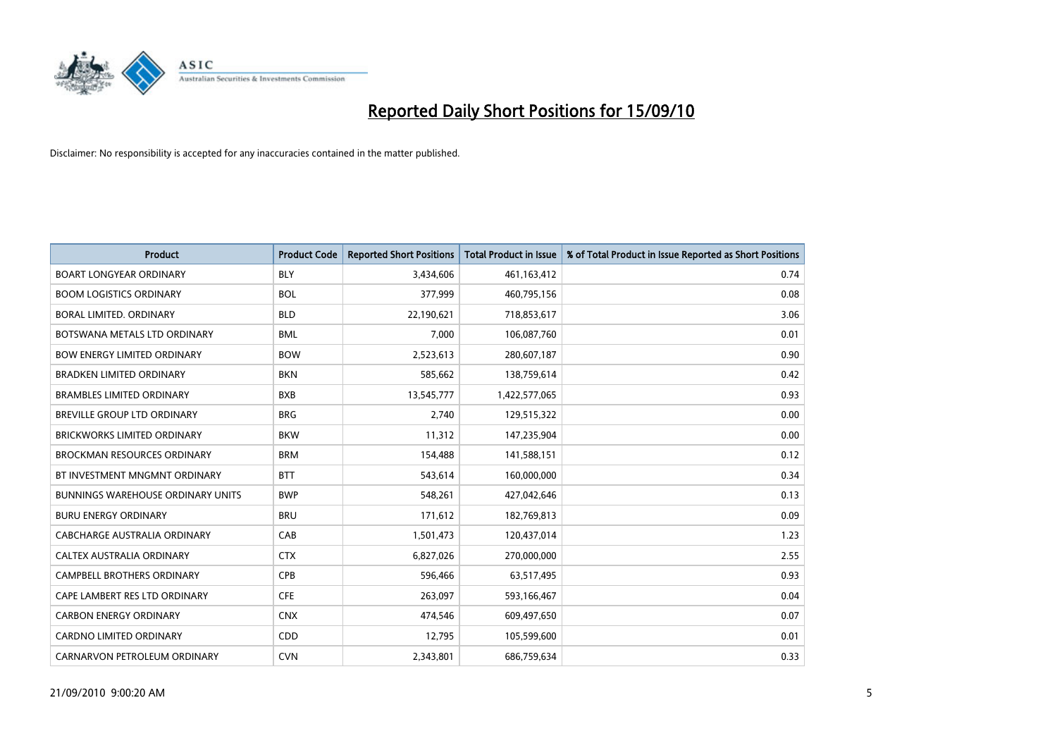

| <b>Product</b>                           | <b>Product Code</b> | <b>Reported Short Positions</b> | Total Product in Issue | % of Total Product in Issue Reported as Short Positions |
|------------------------------------------|---------------------|---------------------------------|------------------------|---------------------------------------------------------|
| <b>BOART LONGYEAR ORDINARY</b>           | <b>BLY</b>          | 3,434,606                       | 461,163,412            | 0.74                                                    |
| <b>BOOM LOGISTICS ORDINARY</b>           | <b>BOL</b>          | 377.999                         | 460,795,156            | 0.08                                                    |
| BORAL LIMITED, ORDINARY                  | <b>BLD</b>          | 22,190,621                      | 718,853,617            | 3.06                                                    |
| BOTSWANA METALS LTD ORDINARY             | <b>BML</b>          | 7,000                           | 106,087,760            | 0.01                                                    |
| <b>BOW ENERGY LIMITED ORDINARY</b>       | <b>BOW</b>          | 2,523,613                       | 280,607,187            | 0.90                                                    |
| <b>BRADKEN LIMITED ORDINARY</b>          | <b>BKN</b>          | 585,662                         | 138,759,614            | 0.42                                                    |
| <b>BRAMBLES LIMITED ORDINARY</b>         | <b>BXB</b>          | 13,545,777                      | 1,422,577,065          | 0.93                                                    |
| <b>BREVILLE GROUP LTD ORDINARY</b>       | <b>BRG</b>          | 2,740                           | 129,515,322            | 0.00                                                    |
| <b>BRICKWORKS LIMITED ORDINARY</b>       | <b>BKW</b>          | 11,312                          | 147,235,904            | 0.00                                                    |
| <b>BROCKMAN RESOURCES ORDINARY</b>       | <b>BRM</b>          | 154,488                         | 141,588,151            | 0.12                                                    |
| BT INVESTMENT MNGMNT ORDINARY            | <b>BTT</b>          | 543,614                         | 160,000,000            | 0.34                                                    |
| <b>BUNNINGS WAREHOUSE ORDINARY UNITS</b> | <b>BWP</b>          | 548,261                         | 427,042,646            | 0.13                                                    |
| <b>BURU ENERGY ORDINARY</b>              | <b>BRU</b>          | 171,612                         | 182,769,813            | 0.09                                                    |
| <b>CABCHARGE AUSTRALIA ORDINARY</b>      | CAB                 | 1,501,473                       | 120,437,014            | 1.23                                                    |
| CALTEX AUSTRALIA ORDINARY                | <b>CTX</b>          | 6,827,026                       | 270,000,000            | 2.55                                                    |
| <b>CAMPBELL BROTHERS ORDINARY</b>        | <b>CPB</b>          | 596,466                         | 63,517,495             | 0.93                                                    |
| CAPE LAMBERT RES LTD ORDINARY            | <b>CFE</b>          | 263,097                         | 593,166,467            | 0.04                                                    |
| <b>CARBON ENERGY ORDINARY</b>            | <b>CNX</b>          | 474,546                         | 609,497,650            | 0.07                                                    |
| <b>CARDNO LIMITED ORDINARY</b>           | CDD                 | 12,795                          | 105,599,600            | 0.01                                                    |
| CARNARVON PETROLEUM ORDINARY             | <b>CVN</b>          | 2,343,801                       | 686,759,634            | 0.33                                                    |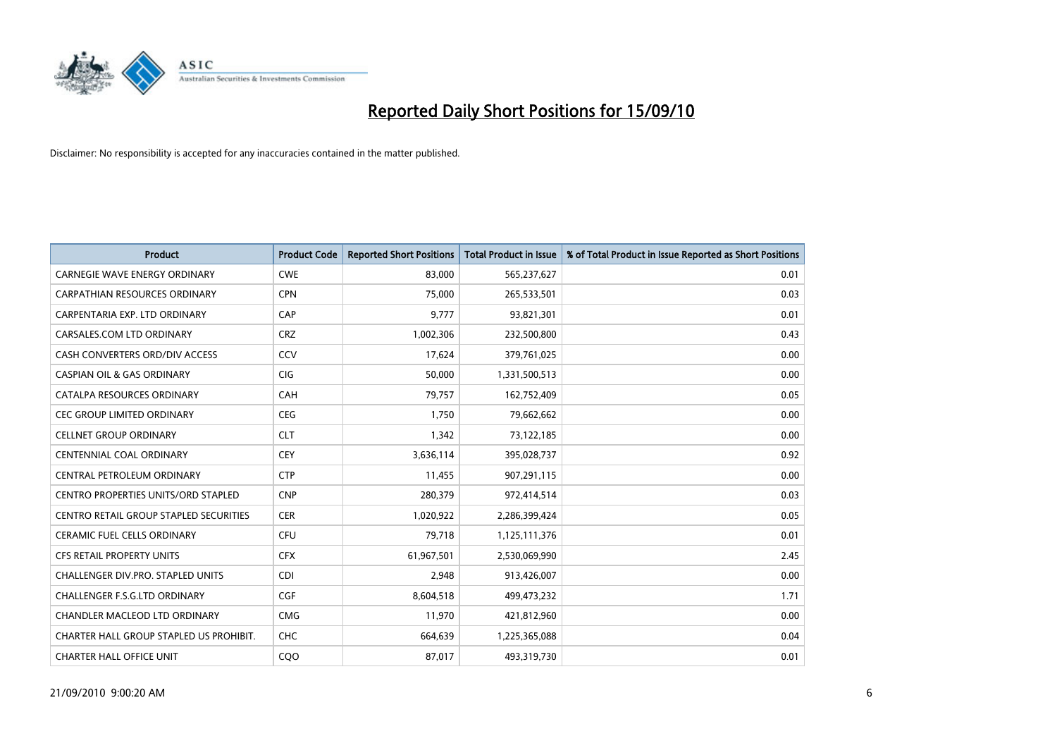

| <b>Product</b>                             | <b>Product Code</b> | <b>Reported Short Positions</b> | Total Product in Issue | % of Total Product in Issue Reported as Short Positions |
|--------------------------------------------|---------------------|---------------------------------|------------------------|---------------------------------------------------------|
| <b>CARNEGIE WAVE ENERGY ORDINARY</b>       | <b>CWE</b>          | 83.000                          | 565,237,627            | 0.01                                                    |
| CARPATHIAN RESOURCES ORDINARY              | <b>CPN</b>          | 75,000                          | 265,533,501            | 0.03                                                    |
| CARPENTARIA EXP. LTD ORDINARY              | CAP                 | 9.777                           | 93,821,301             | 0.01                                                    |
| CARSALES.COM LTD ORDINARY                  | <b>CRZ</b>          | 1,002,306                       | 232,500,800            | 0.43                                                    |
| CASH CONVERTERS ORD/DIV ACCESS             | CCV                 | 17,624                          | 379,761,025            | 0.00                                                    |
| <b>CASPIAN OIL &amp; GAS ORDINARY</b>      | <b>CIG</b>          | 50,000                          | 1,331,500,513          | 0.00                                                    |
| CATALPA RESOURCES ORDINARY                 | CAH                 | 79,757                          | 162,752,409            | 0.05                                                    |
| CEC GROUP LIMITED ORDINARY                 | <b>CEG</b>          | 1,750                           | 79,662,662             | 0.00                                                    |
| <b>CELLNET GROUP ORDINARY</b>              | <b>CLT</b>          | 1,342                           | 73,122,185             | 0.00                                                    |
| <b>CENTENNIAL COAL ORDINARY</b>            | <b>CEY</b>          | 3,636,114                       | 395,028,737            | 0.92                                                    |
| CENTRAL PETROLEUM ORDINARY                 | <b>CTP</b>          | 11,455                          | 907,291,115            | 0.00                                                    |
| <b>CENTRO PROPERTIES UNITS/ORD STAPLED</b> | <b>CNP</b>          | 280,379                         | 972,414,514            | 0.03                                                    |
| CENTRO RETAIL GROUP STAPLED SECURITIES     | <b>CER</b>          | 1,020,922                       | 2,286,399,424          | 0.05                                                    |
| <b>CERAMIC FUEL CELLS ORDINARY</b>         | CFU                 | 79,718                          | 1,125,111,376          | 0.01                                                    |
| <b>CFS RETAIL PROPERTY UNITS</b>           | <b>CFX</b>          | 61,967,501                      | 2,530,069,990          | 2.45                                                    |
| CHALLENGER DIV.PRO. STAPLED UNITS          | <b>CDI</b>          | 2,948                           | 913,426,007            | 0.00                                                    |
| CHALLENGER F.S.G.LTD ORDINARY              | <b>CGF</b>          | 8,604,518                       | 499,473,232            | 1.71                                                    |
| CHANDLER MACLEOD LTD ORDINARY              | <b>CMG</b>          | 11,970                          | 421,812,960            | 0.00                                                    |
| CHARTER HALL GROUP STAPLED US PROHIBIT.    | <b>CHC</b>          | 664,639                         | 1,225,365,088          | 0.04                                                    |
| <b>CHARTER HALL OFFICE UNIT</b>            | CQ <sub>O</sub>     | 87,017                          | 493,319,730            | 0.01                                                    |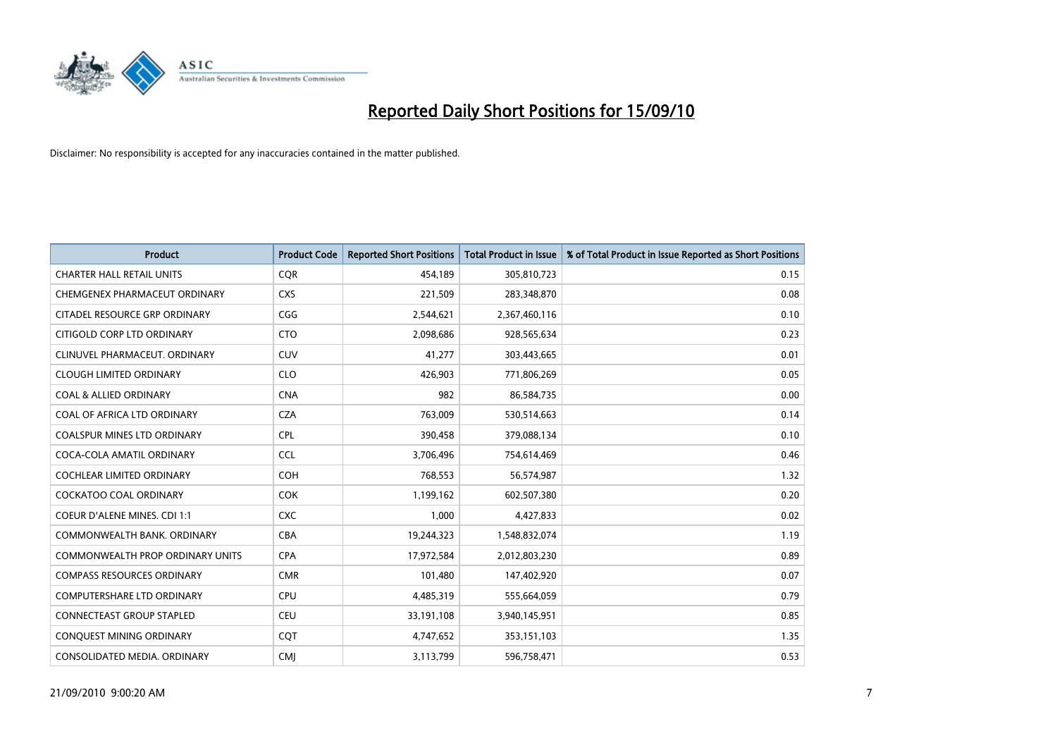

| <b>Product</b>                      | <b>Product Code</b> | <b>Reported Short Positions</b> | <b>Total Product in Issue</b> | % of Total Product in Issue Reported as Short Positions |
|-------------------------------------|---------------------|---------------------------------|-------------------------------|---------------------------------------------------------|
| <b>CHARTER HALL RETAIL UNITS</b>    | <b>CQR</b>          | 454,189                         | 305,810,723                   | 0.15                                                    |
| CHEMGENEX PHARMACEUT ORDINARY       | <b>CXS</b>          | 221,509                         | 283,348,870                   | 0.08                                                    |
| CITADEL RESOURCE GRP ORDINARY       | CGG                 | 2,544,621                       | 2,367,460,116                 | 0.10                                                    |
| CITIGOLD CORP LTD ORDINARY          | <b>CTO</b>          | 2,098,686                       | 928,565,634                   | 0.23                                                    |
| CLINUVEL PHARMACEUT, ORDINARY       | <b>CUV</b>          | 41,277                          | 303,443,665                   | 0.01                                                    |
| <b>CLOUGH LIMITED ORDINARY</b>      | <b>CLO</b>          | 426.903                         | 771,806,269                   | 0.05                                                    |
| <b>COAL &amp; ALLIED ORDINARY</b>   | <b>CNA</b>          | 982                             | 86,584,735                    | 0.00                                                    |
| COAL OF AFRICA LTD ORDINARY         | <b>CZA</b>          | 763,009                         | 530,514,663                   | 0.14                                                    |
| COALSPUR MINES LTD ORDINARY         | <b>CPL</b>          | 390,458                         | 379,088,134                   | 0.10                                                    |
| COCA-COLA AMATIL ORDINARY           | <b>CCL</b>          | 3,706,496                       | 754,614,469                   | 0.46                                                    |
| <b>COCHLEAR LIMITED ORDINARY</b>    | <b>COH</b>          | 768,553                         | 56,574,987                    | 1.32                                                    |
| COCKATOO COAL ORDINARY              | <b>COK</b>          | 1,199,162                       | 602,507,380                   | 0.20                                                    |
| <b>COEUR D'ALENE MINES. CDI 1:1</b> | <b>CXC</b>          | 1,000                           | 4,427,833                     | 0.02                                                    |
| COMMONWEALTH BANK, ORDINARY         | <b>CBA</b>          | 19,244,323                      | 1,548,832,074                 | 1.19                                                    |
| COMMONWEALTH PROP ORDINARY UNITS    | <b>CPA</b>          | 17,972,584                      | 2,012,803,230                 | 0.89                                                    |
| <b>COMPASS RESOURCES ORDINARY</b>   | <b>CMR</b>          | 101,480                         | 147,402,920                   | 0.07                                                    |
| <b>COMPUTERSHARE LTD ORDINARY</b>   | <b>CPU</b>          | 4,485,319                       | 555,664,059                   | 0.79                                                    |
| CONNECTEAST GROUP STAPLED           | <b>CEU</b>          | 33,191,108                      | 3,940,145,951                 | 0.85                                                    |
| CONQUEST MINING ORDINARY            | COT                 | 4,747,652                       | 353,151,103                   | 1.35                                                    |
| CONSOLIDATED MEDIA. ORDINARY        | <b>CMI</b>          | 3,113,799                       | 596,758,471                   | 0.53                                                    |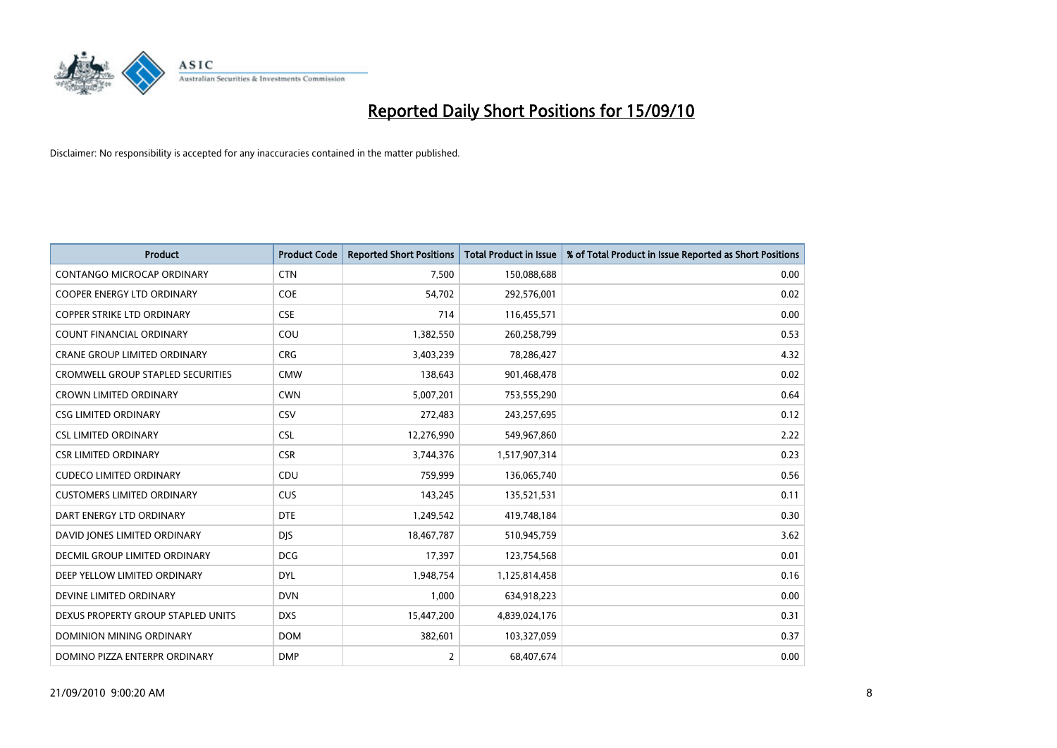

| <b>Product</b>                           | <b>Product Code</b> | <b>Reported Short Positions</b> | Total Product in Issue | % of Total Product in Issue Reported as Short Positions |
|------------------------------------------|---------------------|---------------------------------|------------------------|---------------------------------------------------------|
| <b>CONTANGO MICROCAP ORDINARY</b>        | <b>CTN</b>          | 7,500                           | 150,088,688            | 0.00                                                    |
| COOPER ENERGY LTD ORDINARY               | <b>COE</b>          | 54,702                          | 292,576,001            | 0.02                                                    |
| <b>COPPER STRIKE LTD ORDINARY</b>        | <b>CSE</b>          | 714                             | 116,455,571            | 0.00                                                    |
| COUNT FINANCIAL ORDINARY                 | COU                 | 1,382,550                       | 260,258,799            | 0.53                                                    |
| <b>CRANE GROUP LIMITED ORDINARY</b>      | <b>CRG</b>          | 3,403,239                       | 78,286,427             | 4.32                                                    |
| <b>CROMWELL GROUP STAPLED SECURITIES</b> | <b>CMW</b>          | 138,643                         | 901,468,478            | 0.02                                                    |
| <b>CROWN LIMITED ORDINARY</b>            | <b>CWN</b>          | 5,007,201                       | 753,555,290            | 0.64                                                    |
| <b>CSG LIMITED ORDINARY</b>              | CSV                 | 272,483                         | 243,257,695            | 0.12                                                    |
| <b>CSL LIMITED ORDINARY</b>              | <b>CSL</b>          | 12,276,990                      | 549,967,860            | 2.22                                                    |
| <b>CSR LIMITED ORDINARY</b>              | <b>CSR</b>          | 3,744,376                       | 1,517,907,314          | 0.23                                                    |
| <b>CUDECO LIMITED ORDINARY</b>           | CDU                 | 759,999                         | 136,065,740            | 0.56                                                    |
| <b>CUSTOMERS LIMITED ORDINARY</b>        | <b>CUS</b>          | 143,245                         | 135,521,531            | 0.11                                                    |
| DART ENERGY LTD ORDINARY                 | <b>DTE</b>          | 1,249,542                       | 419,748,184            | 0.30                                                    |
| DAVID JONES LIMITED ORDINARY             | <b>DIS</b>          | 18,467,787                      | 510,945,759            | 3.62                                                    |
| DECMIL GROUP LIMITED ORDINARY            | <b>DCG</b>          | 17,397                          | 123,754,568            | 0.01                                                    |
| DEEP YELLOW LIMITED ORDINARY             | <b>DYL</b>          | 1,948,754                       | 1,125,814,458          | 0.16                                                    |
| DEVINE LIMITED ORDINARY                  | <b>DVN</b>          | 1,000                           | 634,918,223            | 0.00                                                    |
| DEXUS PROPERTY GROUP STAPLED UNITS       | <b>DXS</b>          | 15,447,200                      | 4,839,024,176          | 0.31                                                    |
| DOMINION MINING ORDINARY                 | <b>DOM</b>          | 382,601                         | 103,327,059            | 0.37                                                    |
| DOMINO PIZZA ENTERPR ORDINARY            | <b>DMP</b>          | $\overline{2}$                  | 68,407,674             | 0.00                                                    |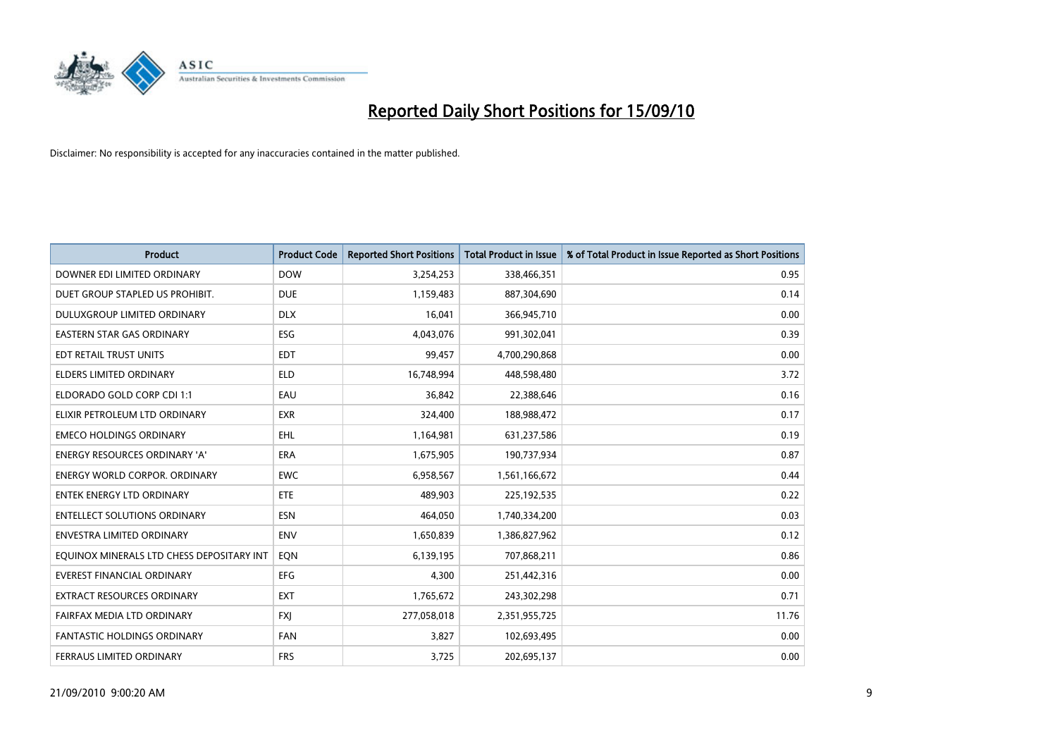

| <b>Product</b>                            | <b>Product Code</b> | <b>Reported Short Positions</b> | <b>Total Product in Issue</b> | % of Total Product in Issue Reported as Short Positions |
|-------------------------------------------|---------------------|---------------------------------|-------------------------------|---------------------------------------------------------|
| DOWNER EDI LIMITED ORDINARY               | <b>DOW</b>          | 3,254,253                       | 338,466,351                   | 0.95                                                    |
| DUET GROUP STAPLED US PROHIBIT.           | <b>DUE</b>          | 1,159,483                       | 887,304,690                   | 0.14                                                    |
| DULUXGROUP LIMITED ORDINARY               | <b>DLX</b>          | 16.041                          | 366,945,710                   | 0.00                                                    |
| <b>EASTERN STAR GAS ORDINARY</b>          | ESG                 | 4,043,076                       | 991,302,041                   | 0.39                                                    |
| EDT RETAIL TRUST UNITS                    | <b>EDT</b>          | 99,457                          | 4,700,290,868                 | 0.00                                                    |
| <b>ELDERS LIMITED ORDINARY</b>            | <b>ELD</b>          | 16,748,994                      | 448,598,480                   | 3.72                                                    |
| ELDORADO GOLD CORP CDI 1:1                | EAU                 | 36,842                          | 22,388,646                    | 0.16                                                    |
| ELIXIR PETROLEUM LTD ORDINARY             | <b>EXR</b>          | 324,400                         | 188,988,472                   | 0.17                                                    |
| <b>EMECO HOLDINGS ORDINARY</b>            | <b>EHL</b>          | 1,164,981                       | 631,237,586                   | 0.19                                                    |
| <b>ENERGY RESOURCES ORDINARY 'A'</b>      | <b>ERA</b>          | 1,675,905                       | 190,737,934                   | 0.87                                                    |
| <b>ENERGY WORLD CORPOR. ORDINARY</b>      | <b>EWC</b>          | 6,958,567                       | 1,561,166,672                 | 0.44                                                    |
| <b>ENTEK ENERGY LTD ORDINARY</b>          | <b>ETE</b>          | 489,903                         | 225,192,535                   | 0.22                                                    |
| <b>ENTELLECT SOLUTIONS ORDINARY</b>       | <b>ESN</b>          | 464,050                         | 1,740,334,200                 | 0.03                                                    |
| <b>ENVESTRA LIMITED ORDINARY</b>          | <b>ENV</b>          | 1,650,839                       | 1,386,827,962                 | 0.12                                                    |
| EQUINOX MINERALS LTD CHESS DEPOSITARY INT | EQN                 | 6,139,195                       | 707,868,211                   | 0.86                                                    |
| <b>EVEREST FINANCIAL ORDINARY</b>         | <b>EFG</b>          | 4,300                           | 251,442,316                   | 0.00                                                    |
| EXTRACT RESOURCES ORDINARY                | <b>EXT</b>          | 1,765,672                       | 243,302,298                   | 0.71                                                    |
| FAIRFAX MEDIA LTD ORDINARY                | <b>FXJ</b>          | 277,058,018                     | 2,351,955,725                 | 11.76                                                   |
| <b>FANTASTIC HOLDINGS ORDINARY</b>        | <b>FAN</b>          | 3,827                           | 102,693,495                   | 0.00                                                    |
| FERRAUS LIMITED ORDINARY                  | <b>FRS</b>          | 3,725                           | 202,695,137                   | 0.00                                                    |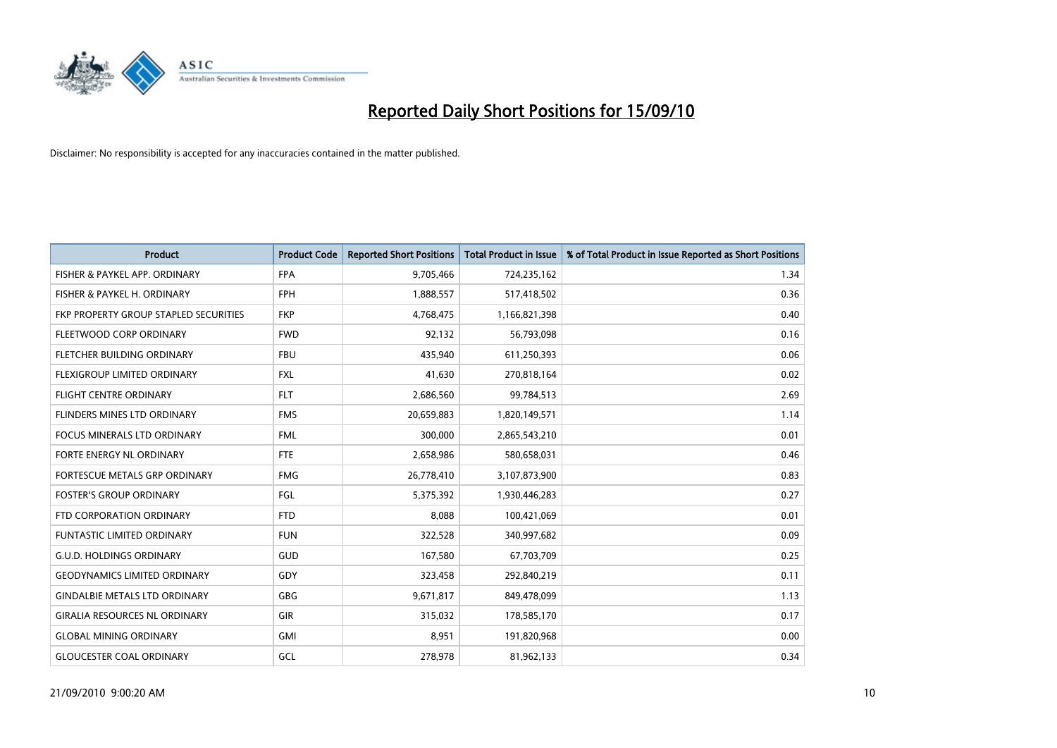

| <b>Product</b>                        | <b>Product Code</b> | <b>Reported Short Positions</b> | Total Product in Issue | % of Total Product in Issue Reported as Short Positions |
|---------------------------------------|---------------------|---------------------------------|------------------------|---------------------------------------------------------|
| FISHER & PAYKEL APP. ORDINARY         | <b>FPA</b>          | 9,705,466                       | 724,235,162            | 1.34                                                    |
| FISHER & PAYKEL H. ORDINARY           | <b>FPH</b>          | 1,888,557                       | 517,418,502            | 0.36                                                    |
| FKP PROPERTY GROUP STAPLED SECURITIES | <b>FKP</b>          | 4,768,475                       | 1,166,821,398          | 0.40                                                    |
| FLEETWOOD CORP ORDINARY               | <b>FWD</b>          | 92,132                          | 56,793,098             | 0.16                                                    |
| FLETCHER BUILDING ORDINARY            | <b>FBU</b>          | 435,940                         | 611,250,393            | 0.06                                                    |
| FLEXIGROUP LIMITED ORDINARY           | <b>FXL</b>          | 41,630                          | 270,818,164            | 0.02                                                    |
| <b>FLIGHT CENTRE ORDINARY</b>         | <b>FLT</b>          | 2,686,560                       | 99,784,513             | 2.69                                                    |
| FLINDERS MINES LTD ORDINARY           | <b>FMS</b>          | 20,659,883                      | 1,820,149,571          | 1.14                                                    |
| <b>FOCUS MINERALS LTD ORDINARY</b>    | <b>FML</b>          | 300.000                         | 2,865,543,210          | 0.01                                                    |
| FORTE ENERGY NL ORDINARY              | <b>FTE</b>          | 2,658,986                       | 580,658,031            | 0.46                                                    |
| FORTESCUE METALS GRP ORDINARY         | <b>FMG</b>          | 26,778,410                      | 3,107,873,900          | 0.83                                                    |
| <b>FOSTER'S GROUP ORDINARY</b>        | FGL                 | 5,375,392                       | 1,930,446,283          | 0.27                                                    |
| FTD CORPORATION ORDINARY              | <b>FTD</b>          | 8,088                           | 100,421,069            | 0.01                                                    |
| <b>FUNTASTIC LIMITED ORDINARY</b>     | <b>FUN</b>          | 322,528                         | 340,997,682            | 0.09                                                    |
| <b>G.U.D. HOLDINGS ORDINARY</b>       | <b>GUD</b>          | 167,580                         | 67,703,709             | 0.25                                                    |
| <b>GEODYNAMICS LIMITED ORDINARY</b>   | GDY                 | 323,458                         | 292,840,219            | 0.11                                                    |
| <b>GINDALBIE METALS LTD ORDINARY</b>  | GBG                 | 9,671,817                       | 849,478,099            | 1.13                                                    |
| <b>GIRALIA RESOURCES NL ORDINARY</b>  | GIR                 | 315,032                         | 178,585,170            | 0.17                                                    |
| <b>GLOBAL MINING ORDINARY</b>         | <b>GMI</b>          | 8,951                           | 191,820,968            | 0.00                                                    |
| <b>GLOUCESTER COAL ORDINARY</b>       | GCL                 | 278,978                         | 81,962,133             | 0.34                                                    |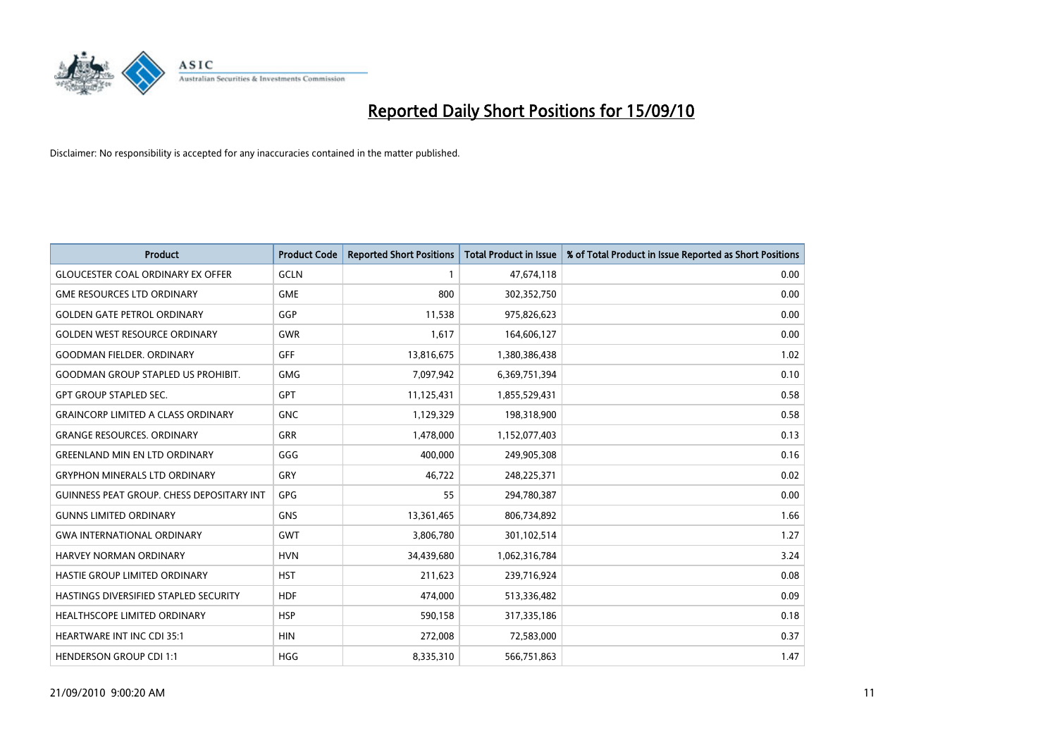

| <b>Product</b>                                   | <b>Product Code</b> | <b>Reported Short Positions</b> | <b>Total Product in Issue</b> | % of Total Product in Issue Reported as Short Positions |
|--------------------------------------------------|---------------------|---------------------------------|-------------------------------|---------------------------------------------------------|
| <b>GLOUCESTER COAL ORDINARY EX OFFER</b>         | <b>GCLN</b>         |                                 | 47,674,118                    | 0.00                                                    |
| <b>GME RESOURCES LTD ORDINARY</b>                | <b>GME</b>          | 800                             | 302,352,750                   | 0.00                                                    |
| <b>GOLDEN GATE PETROL ORDINARY</b>               | GGP                 | 11,538                          | 975,826,623                   | 0.00                                                    |
| <b>GOLDEN WEST RESOURCE ORDINARY</b>             | <b>GWR</b>          | 1,617                           | 164,606,127                   | 0.00                                                    |
| <b>GOODMAN FIELDER, ORDINARY</b>                 | <b>GFF</b>          | 13,816,675                      | 1,380,386,438                 | 1.02                                                    |
| <b>GOODMAN GROUP STAPLED US PROHIBIT.</b>        | <b>GMG</b>          | 7,097,942                       | 6,369,751,394                 | 0.10                                                    |
| <b>GPT GROUP STAPLED SEC.</b>                    | <b>GPT</b>          | 11,125,431                      | 1,855,529,431                 | 0.58                                                    |
| <b>GRAINCORP LIMITED A CLASS ORDINARY</b>        | <b>GNC</b>          | 1,129,329                       | 198,318,900                   | 0.58                                                    |
| <b>GRANGE RESOURCES, ORDINARY</b>                | <b>GRR</b>          | 1,478,000                       | 1,152,077,403                 | 0.13                                                    |
| <b>GREENLAND MIN EN LTD ORDINARY</b>             | GGG                 | 400,000                         | 249,905,308                   | 0.16                                                    |
| <b>GRYPHON MINERALS LTD ORDINARY</b>             | GRY                 | 46,722                          | 248,225,371                   | 0.02                                                    |
| <b>GUINNESS PEAT GROUP. CHESS DEPOSITARY INT</b> | GPG                 | 55                              | 294,780,387                   | 0.00                                                    |
| <b>GUNNS LIMITED ORDINARY</b>                    | <b>GNS</b>          | 13,361,465                      | 806,734,892                   | 1.66                                                    |
| <b>GWA INTERNATIONAL ORDINARY</b>                | <b>GWT</b>          | 3,806,780                       | 301,102,514                   | 1.27                                                    |
| <b>HARVEY NORMAN ORDINARY</b>                    | <b>HVN</b>          | 34,439,680                      | 1,062,316,784                 | 3.24                                                    |
| HASTIE GROUP LIMITED ORDINARY                    | <b>HST</b>          | 211,623                         | 239,716,924                   | 0.08                                                    |
| HASTINGS DIVERSIFIED STAPLED SECURITY            | <b>HDF</b>          | 474,000                         | 513,336,482                   | 0.09                                                    |
| HEALTHSCOPE LIMITED ORDINARY                     | <b>HSP</b>          | 590,158                         | 317,335,186                   | 0.18                                                    |
| <b>HEARTWARE INT INC CDI 35:1</b>                | <b>HIN</b>          | 272,008                         | 72,583,000                    | 0.37                                                    |
| <b>HENDERSON GROUP CDI 1:1</b>                   | <b>HGG</b>          | 8,335,310                       | 566,751,863                   | 1.47                                                    |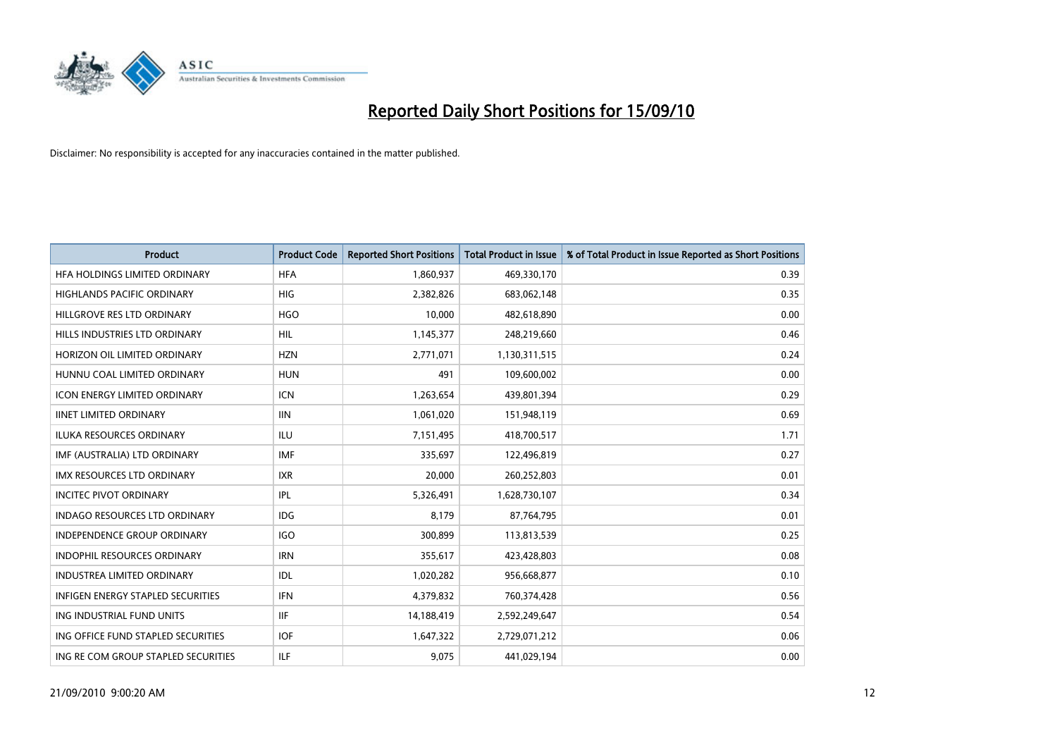

| <b>Product</b>                      | <b>Product Code</b> | <b>Reported Short Positions</b> | <b>Total Product in Issue</b> | % of Total Product in Issue Reported as Short Positions |
|-------------------------------------|---------------------|---------------------------------|-------------------------------|---------------------------------------------------------|
| HFA HOLDINGS LIMITED ORDINARY       | <b>HFA</b>          | 1,860,937                       | 469,330,170                   | 0.39                                                    |
| HIGHLANDS PACIFIC ORDINARY          | <b>HIG</b>          | 2,382,826                       | 683,062,148                   | 0.35                                                    |
| HILLGROVE RES LTD ORDINARY          | <b>HGO</b>          | 10,000                          | 482,618,890                   | 0.00                                                    |
| HILLS INDUSTRIES LTD ORDINARY       | <b>HIL</b>          | 1,145,377                       | 248,219,660                   | 0.46                                                    |
| HORIZON OIL LIMITED ORDINARY        | <b>HZN</b>          | 2,771,071                       | 1,130,311,515                 | 0.24                                                    |
| HUNNU COAL LIMITED ORDINARY         | <b>HUN</b>          | 491                             | 109,600,002                   | 0.00                                                    |
| <b>ICON ENERGY LIMITED ORDINARY</b> | <b>ICN</b>          | 1,263,654                       | 439,801,394                   | 0.29                                                    |
| <b>IINET LIMITED ORDINARY</b>       | <b>IIN</b>          | 1,061,020                       | 151,948,119                   | 0.69                                                    |
| <b>ILUKA RESOURCES ORDINARY</b>     | <b>ILU</b>          | 7,151,495                       | 418,700,517                   | 1.71                                                    |
| IMF (AUSTRALIA) LTD ORDINARY        | <b>IMF</b>          | 335,697                         | 122,496,819                   | 0.27                                                    |
| IMX RESOURCES LTD ORDINARY          | <b>IXR</b>          | 20,000                          | 260,252,803                   | 0.01                                                    |
| <b>INCITEC PIVOT ORDINARY</b>       | <b>IPL</b>          | 5,326,491                       | 1,628,730,107                 | 0.34                                                    |
| INDAGO RESOURCES LTD ORDINARY       | <b>IDG</b>          | 8,179                           | 87,764,795                    | 0.01                                                    |
| <b>INDEPENDENCE GROUP ORDINARY</b>  | <b>IGO</b>          | 300,899                         | 113,813,539                   | 0.25                                                    |
| <b>INDOPHIL RESOURCES ORDINARY</b>  | <b>IRN</b>          | 355,617                         | 423,428,803                   | 0.08                                                    |
| <b>INDUSTREA LIMITED ORDINARY</b>   | IDL                 | 1,020,282                       | 956,668,877                   | 0.10                                                    |
| INFIGEN ENERGY STAPLED SECURITIES   | <b>IFN</b>          | 4,379,832                       | 760,374,428                   | 0.56                                                    |
| ING INDUSTRIAL FUND UNITS           | <b>IIF</b>          | 14,188,419                      | 2,592,249,647                 | 0.54                                                    |
| ING OFFICE FUND STAPLED SECURITIES  | <b>IOF</b>          | 1,647,322                       | 2,729,071,212                 | 0.06                                                    |
| ING RE COM GROUP STAPLED SECURITIES | <b>ILF</b>          | 9,075                           | 441,029,194                   | 0.00                                                    |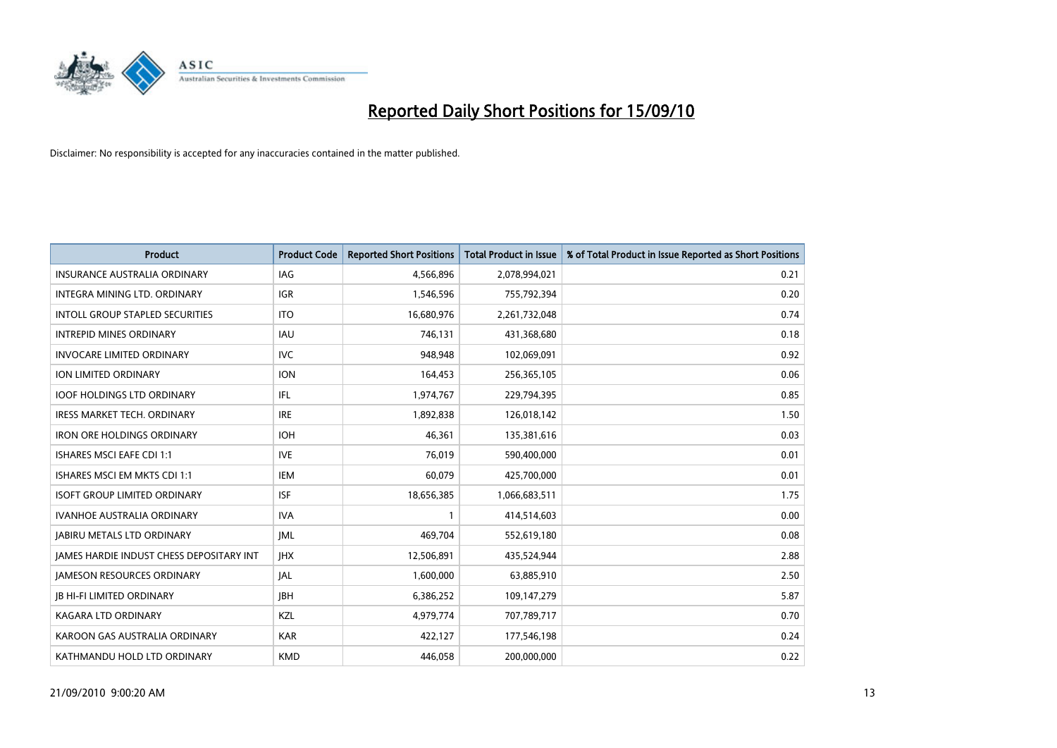

| <b>Product</b>                                  | <b>Product Code</b> | <b>Reported Short Positions</b> | <b>Total Product in Issue</b> | % of Total Product in Issue Reported as Short Positions |
|-------------------------------------------------|---------------------|---------------------------------|-------------------------------|---------------------------------------------------------|
| <b>INSURANCE AUSTRALIA ORDINARY</b>             | IAG                 | 4,566,896                       | 2,078,994,021                 | 0.21                                                    |
| INTEGRA MINING LTD. ORDINARY                    | <b>IGR</b>          | 1,546,596                       | 755,792,394                   | 0.20                                                    |
| <b>INTOLL GROUP STAPLED SECURITIES</b>          | <b>ITO</b>          | 16,680,976                      | 2,261,732,048                 | 0.74                                                    |
| <b>INTREPID MINES ORDINARY</b>                  | <b>IAU</b>          | 746,131                         | 431,368,680                   | 0.18                                                    |
| <b>INVOCARE LIMITED ORDINARY</b>                | <b>IVC</b>          | 948,948                         | 102,069,091                   | 0.92                                                    |
| ION LIMITED ORDINARY                            | <b>ION</b>          | 164,453                         | 256,365,105                   | 0.06                                                    |
| <b>IOOF HOLDINGS LTD ORDINARY</b>               | IFL                 | 1,974,767                       | 229,794,395                   | 0.85                                                    |
| IRESS MARKET TECH. ORDINARY                     | <b>IRE</b>          | 1,892,838                       | 126,018,142                   | 1.50                                                    |
| <b>IRON ORE HOLDINGS ORDINARY</b>               | <b>IOH</b>          | 46,361                          | 135,381,616                   | 0.03                                                    |
| <b>ISHARES MSCI EAFE CDI 1:1</b>                | <b>IVE</b>          | 76,019                          | 590,400,000                   | 0.01                                                    |
| ISHARES MSCI EM MKTS CDI 1:1                    | <b>IEM</b>          | 60,079                          | 425,700,000                   | 0.01                                                    |
| <b>ISOFT GROUP LIMITED ORDINARY</b>             | <b>ISF</b>          | 18,656,385                      | 1,066,683,511                 | 1.75                                                    |
| <b>IVANHOE AUSTRALIA ORDINARY</b>               | <b>IVA</b>          |                                 | 414,514,603                   | 0.00                                                    |
| <b>JABIRU METALS LTD ORDINARY</b>               | <b>IML</b>          | 469,704                         | 552,619,180                   | 0.08                                                    |
| <b>JAMES HARDIE INDUST CHESS DEPOSITARY INT</b> | <b>IHX</b>          | 12,506,891                      | 435,524,944                   | 2.88                                                    |
| <b>JAMESON RESOURCES ORDINARY</b>               | <b>JAL</b>          | 1,600,000                       | 63,885,910                    | 2.50                                                    |
| <b>JB HI-FI LIMITED ORDINARY</b>                | <b>IBH</b>          | 6,386,252                       | 109,147,279                   | 5.87                                                    |
| <b>KAGARA LTD ORDINARY</b>                      | KZL                 | 4,979,774                       | 707,789,717                   | 0.70                                                    |
| KAROON GAS AUSTRALIA ORDINARY                   | <b>KAR</b>          | 422,127                         | 177,546,198                   | 0.24                                                    |
| KATHMANDU HOLD LTD ORDINARY                     | <b>KMD</b>          | 446,058                         | 200,000,000                   | 0.22                                                    |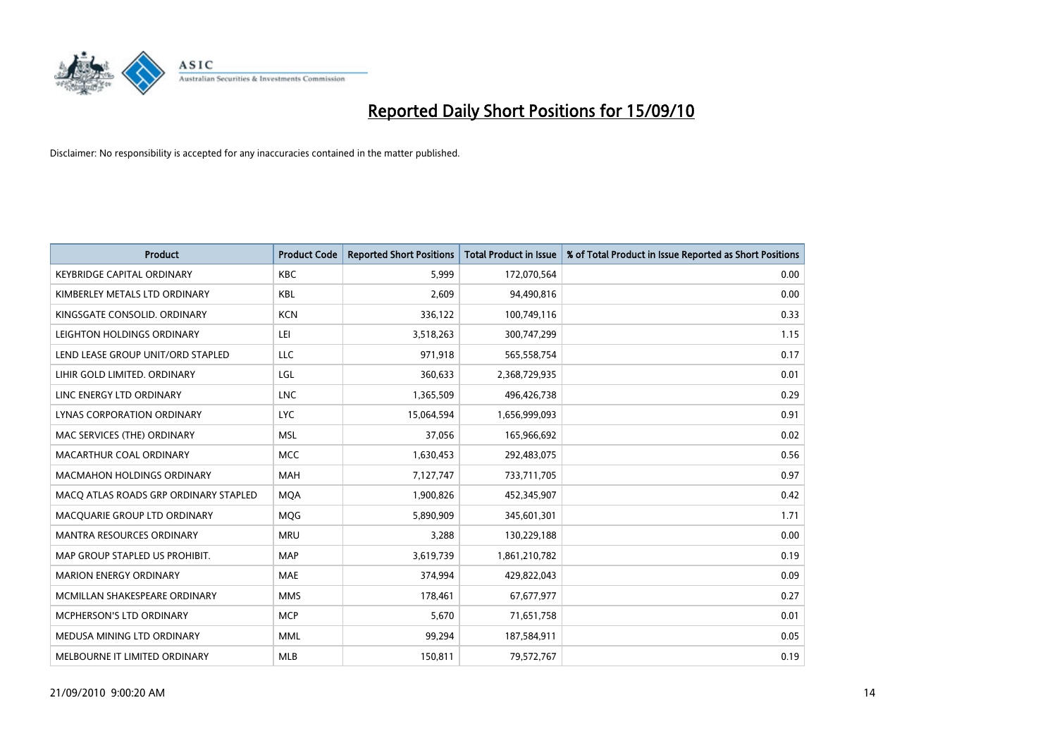

| <b>Product</b>                        | <b>Product Code</b> | <b>Reported Short Positions</b> | <b>Total Product in Issue</b> | % of Total Product in Issue Reported as Short Positions |
|---------------------------------------|---------------------|---------------------------------|-------------------------------|---------------------------------------------------------|
| <b>KEYBRIDGE CAPITAL ORDINARY</b>     | <b>KBC</b>          | 5,999                           | 172,070,564                   | 0.00                                                    |
| KIMBERLEY METALS LTD ORDINARY         | <b>KBL</b>          | 2,609                           | 94,490,816                    | 0.00                                                    |
| KINGSGATE CONSOLID. ORDINARY          | <b>KCN</b>          | 336,122                         | 100,749,116                   | 0.33                                                    |
| LEIGHTON HOLDINGS ORDINARY            | LEI                 | 3,518,263                       | 300,747,299                   | 1.15                                                    |
| LEND LEASE GROUP UNIT/ORD STAPLED     | LLC                 | 971,918                         | 565,558,754                   | 0.17                                                    |
| LIHIR GOLD LIMITED. ORDINARY          | LGL                 | 360,633                         | 2,368,729,935                 | 0.01                                                    |
| LINC ENERGY LTD ORDINARY              | <b>LNC</b>          | 1,365,509                       | 496,426,738                   | 0.29                                                    |
| LYNAS CORPORATION ORDINARY            | <b>LYC</b>          | 15,064,594                      | 1,656,999,093                 | 0.91                                                    |
| MAC SERVICES (THE) ORDINARY           | <b>MSL</b>          | 37,056                          | 165,966,692                   | 0.02                                                    |
| MACARTHUR COAL ORDINARY               | <b>MCC</b>          | 1,630,453                       | 292,483,075                   | 0.56                                                    |
| MACMAHON HOLDINGS ORDINARY            | <b>MAH</b>          | 7,127,747                       | 733,711,705                   | 0.97                                                    |
| MACQ ATLAS ROADS GRP ORDINARY STAPLED | <b>MQA</b>          | 1,900,826                       | 452,345,907                   | 0.42                                                    |
| MACQUARIE GROUP LTD ORDINARY          | <b>MOG</b>          | 5,890,909                       | 345,601,301                   | 1.71                                                    |
| <b>MANTRA RESOURCES ORDINARY</b>      | <b>MRU</b>          | 3,288                           | 130,229,188                   | 0.00                                                    |
| MAP GROUP STAPLED US PROHIBIT.        | <b>MAP</b>          | 3,619,739                       | 1,861,210,782                 | 0.19                                                    |
| <b>MARION ENERGY ORDINARY</b>         | <b>MAE</b>          | 374,994                         | 429,822,043                   | 0.09                                                    |
| MCMILLAN SHAKESPEARE ORDINARY         | <b>MMS</b>          | 178,461                         | 67,677,977                    | 0.27                                                    |
| MCPHERSON'S LTD ORDINARY              | <b>MCP</b>          | 5,670                           | 71,651,758                    | 0.01                                                    |
| MEDUSA MINING LTD ORDINARY            | <b>MML</b>          | 99,294                          | 187,584,911                   | 0.05                                                    |
| MELBOURNE IT LIMITED ORDINARY         | <b>MLB</b>          | 150,811                         | 79,572,767                    | 0.19                                                    |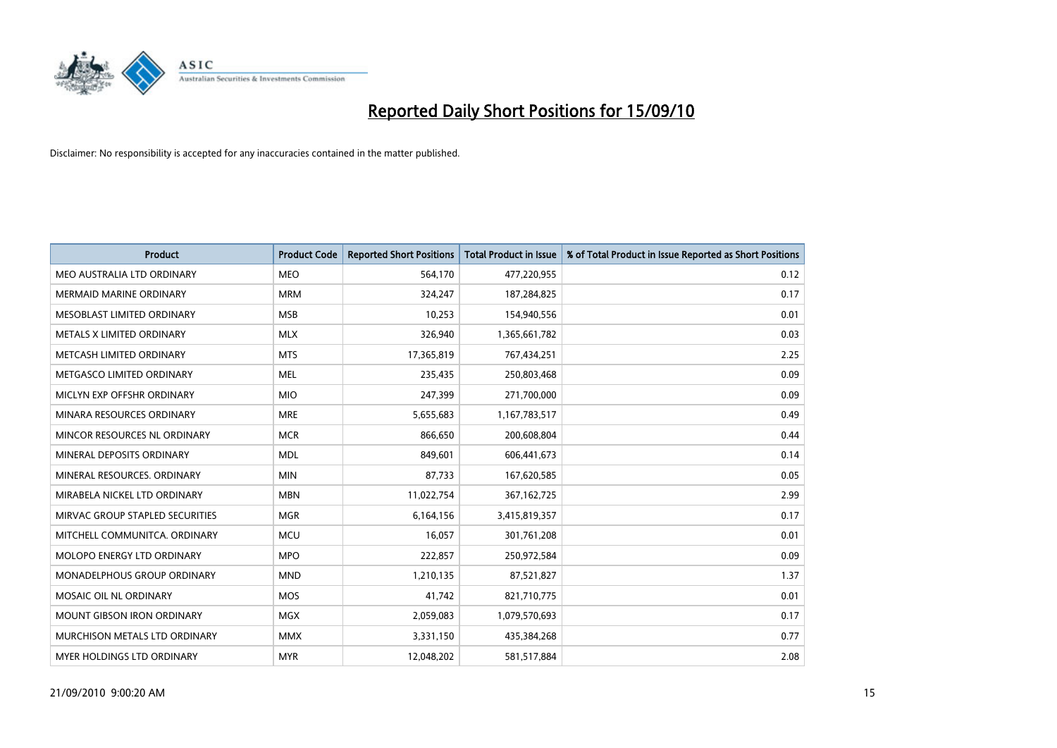

| <b>Product</b>                     | <b>Product Code</b> | <b>Reported Short Positions</b> | <b>Total Product in Issue</b> | % of Total Product in Issue Reported as Short Positions |
|------------------------------------|---------------------|---------------------------------|-------------------------------|---------------------------------------------------------|
| MEO AUSTRALIA LTD ORDINARY         | <b>MEO</b>          | 564,170                         | 477,220,955                   | 0.12                                                    |
| <b>MERMAID MARINE ORDINARY</b>     | <b>MRM</b>          | 324,247                         | 187,284,825                   | 0.17                                                    |
| MESOBLAST LIMITED ORDINARY         | <b>MSB</b>          | 10,253                          | 154,940,556                   | 0.01                                                    |
| METALS X LIMITED ORDINARY          | <b>MLX</b>          | 326,940                         | 1,365,661,782                 | 0.03                                                    |
| METCASH LIMITED ORDINARY           | <b>MTS</b>          | 17,365,819                      | 767,434,251                   | 2.25                                                    |
| METGASCO LIMITED ORDINARY          | <b>MEL</b>          | 235,435                         | 250,803,468                   | 0.09                                                    |
| MICLYN EXP OFFSHR ORDINARY         | <b>MIO</b>          | 247,399                         | 271,700,000                   | 0.09                                                    |
| MINARA RESOURCES ORDINARY          | <b>MRE</b>          | 5,655,683                       | 1,167,783,517                 | 0.49                                                    |
| MINCOR RESOURCES NL ORDINARY       | <b>MCR</b>          | 866,650                         | 200,608,804                   | 0.44                                                    |
| MINERAL DEPOSITS ORDINARY          | <b>MDL</b>          | 849,601                         | 606,441,673                   | 0.14                                                    |
| MINERAL RESOURCES, ORDINARY        | <b>MIN</b>          | 87,733                          | 167,620,585                   | 0.05                                                    |
| MIRABELA NICKEL LTD ORDINARY       | <b>MBN</b>          | 11,022,754                      | 367, 162, 725                 | 2.99                                                    |
| MIRVAC GROUP STAPLED SECURITIES    | <b>MGR</b>          | 6,164,156                       | 3,415,819,357                 | 0.17                                                    |
| MITCHELL COMMUNITCA, ORDINARY      | <b>MCU</b>          | 16,057                          | 301,761,208                   | 0.01                                                    |
| MOLOPO ENERGY LTD ORDINARY         | <b>MPO</b>          | 222,857                         | 250,972,584                   | 0.09                                                    |
| <b>MONADELPHOUS GROUP ORDINARY</b> | <b>MND</b>          | 1,210,135                       | 87,521,827                    | 1.37                                                    |
| <b>MOSAIC OIL NL ORDINARY</b>      | <b>MOS</b>          | 41,742                          | 821,710,775                   | 0.01                                                    |
| <b>MOUNT GIBSON IRON ORDINARY</b>  | <b>MGX</b>          | 2,059,083                       | 1,079,570,693                 | 0.17                                                    |
| MURCHISON METALS LTD ORDINARY      | <b>MMX</b>          | 3,331,150                       | 435,384,268                   | 0.77                                                    |
| MYER HOLDINGS LTD ORDINARY         | <b>MYR</b>          | 12,048,202                      | 581,517,884                   | 2.08                                                    |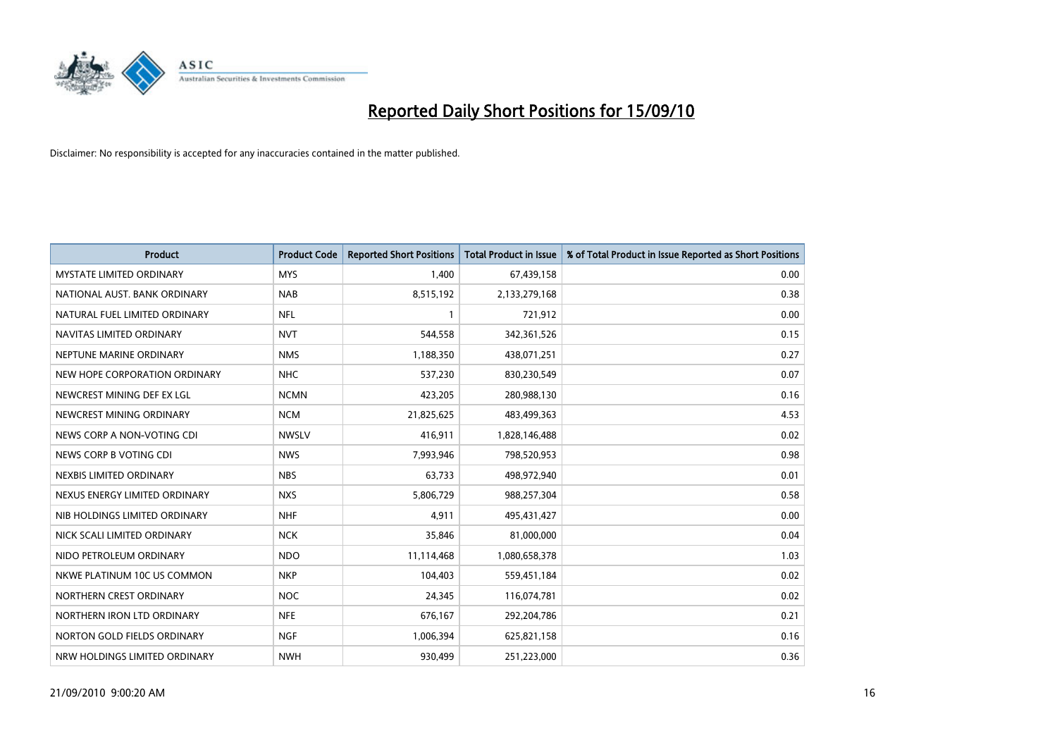

| <b>Product</b>                  | <b>Product Code</b> | <b>Reported Short Positions</b> | <b>Total Product in Issue</b> | % of Total Product in Issue Reported as Short Positions |
|---------------------------------|---------------------|---------------------------------|-------------------------------|---------------------------------------------------------|
| <b>MYSTATE LIMITED ORDINARY</b> | <b>MYS</b>          | 1,400                           | 67,439,158                    | 0.00                                                    |
| NATIONAL AUST. BANK ORDINARY    | <b>NAB</b>          | 8,515,192                       | 2,133,279,168                 | 0.38                                                    |
| NATURAL FUEL LIMITED ORDINARY   | <b>NFL</b>          |                                 | 721,912                       | 0.00                                                    |
| NAVITAS LIMITED ORDINARY        | <b>NVT</b>          | 544,558                         | 342,361,526                   | 0.15                                                    |
| NEPTUNE MARINE ORDINARY         | <b>NMS</b>          | 1,188,350                       | 438,071,251                   | 0.27                                                    |
| NEW HOPE CORPORATION ORDINARY   | <b>NHC</b>          | 537,230                         | 830,230,549                   | 0.07                                                    |
| NEWCREST MINING DEF EX LGL      | <b>NCMN</b>         | 423,205                         | 280,988,130                   | 0.16                                                    |
| NEWCREST MINING ORDINARY        | <b>NCM</b>          | 21,825,625                      | 483,499,363                   | 4.53                                                    |
| NEWS CORP A NON-VOTING CDI      | <b>NWSLV</b>        | 416,911                         | 1,828,146,488                 | 0.02                                                    |
| NEWS CORP B VOTING CDI          | <b>NWS</b>          | 7,993,946                       | 798,520,953                   | 0.98                                                    |
| NEXBIS LIMITED ORDINARY         | <b>NBS</b>          | 63,733                          | 498,972,940                   | 0.01                                                    |
| NEXUS ENERGY LIMITED ORDINARY   | <b>NXS</b>          | 5,806,729                       | 988,257,304                   | 0.58                                                    |
| NIB HOLDINGS LIMITED ORDINARY   | <b>NHF</b>          | 4,911                           | 495,431,427                   | 0.00                                                    |
| NICK SCALI LIMITED ORDINARY     | <b>NCK</b>          | 35,846                          | 81,000,000                    | 0.04                                                    |
| NIDO PETROLEUM ORDINARY         | <b>NDO</b>          | 11,114,468                      | 1,080,658,378                 | 1.03                                                    |
| NKWE PLATINUM 10C US COMMON     | <b>NKP</b>          | 104,403                         | 559,451,184                   | 0.02                                                    |
| NORTHERN CREST ORDINARY         | <b>NOC</b>          | 24,345                          | 116,074,781                   | 0.02                                                    |
| NORTHERN IRON LTD ORDINARY      | <b>NFE</b>          | 676,167                         | 292,204,786                   | 0.21                                                    |
| NORTON GOLD FIELDS ORDINARY     | <b>NGF</b>          | 1,006,394                       | 625,821,158                   | 0.16                                                    |
| NRW HOLDINGS LIMITED ORDINARY   | <b>NWH</b>          | 930,499                         | 251,223,000                   | 0.36                                                    |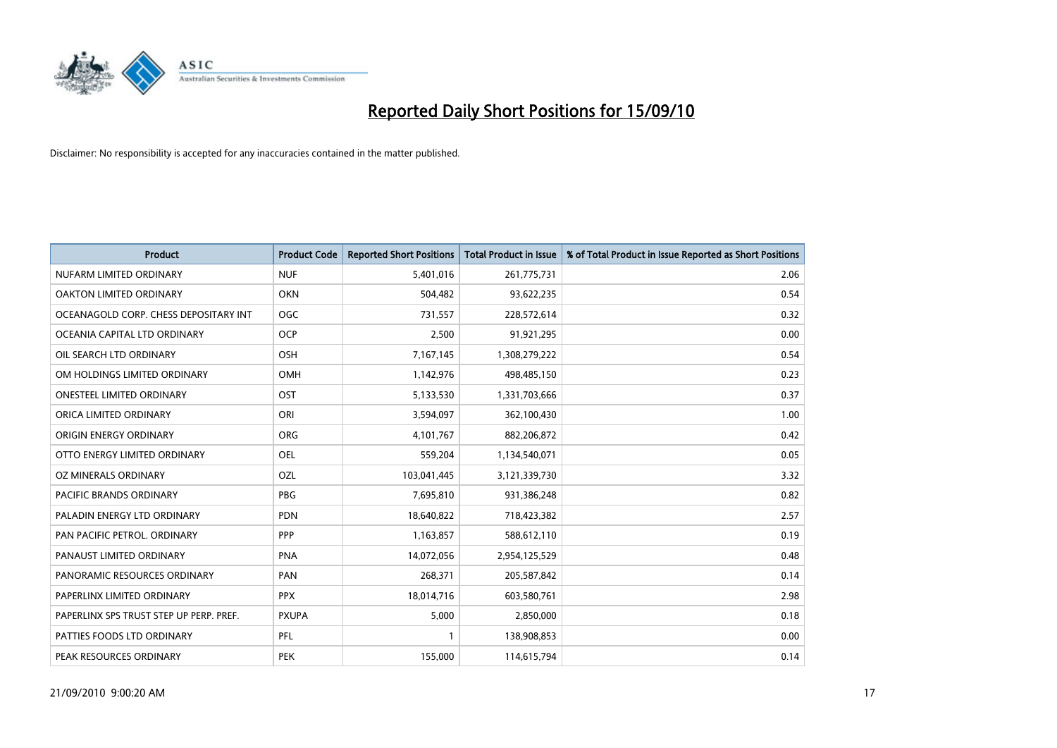

| <b>Product</b>                          | <b>Product Code</b> | <b>Reported Short Positions</b> | Total Product in Issue | % of Total Product in Issue Reported as Short Positions |
|-----------------------------------------|---------------------|---------------------------------|------------------------|---------------------------------------------------------|
| NUFARM LIMITED ORDINARY                 | <b>NUF</b>          | 5,401,016                       | 261,775,731            | 2.06                                                    |
| OAKTON LIMITED ORDINARY                 | <b>OKN</b>          | 504,482                         | 93,622,235             | 0.54                                                    |
| OCEANAGOLD CORP. CHESS DEPOSITARY INT   | <b>OGC</b>          | 731,557                         | 228,572,614            | 0.32                                                    |
| OCEANIA CAPITAL LTD ORDINARY            | <b>OCP</b>          | 2,500                           | 91,921,295             | 0.00                                                    |
| OIL SEARCH LTD ORDINARY                 | OSH                 | 7,167,145                       | 1,308,279,222          | 0.54                                                    |
| OM HOLDINGS LIMITED ORDINARY            | OMH                 | 1,142,976                       | 498,485,150            | 0.23                                                    |
| ONESTEEL LIMITED ORDINARY               | OST                 | 5,133,530                       | 1,331,703,666          | 0.37                                                    |
| ORICA LIMITED ORDINARY                  | ORI                 | 3,594,097                       | 362,100,430            | 1.00                                                    |
| ORIGIN ENERGY ORDINARY                  | <b>ORG</b>          | 4,101,767                       | 882,206,872            | 0.42                                                    |
| OTTO ENERGY LIMITED ORDINARY            | <b>OEL</b>          | 559,204                         | 1,134,540,071          | 0.05                                                    |
| OZ MINERALS ORDINARY                    | OZL                 | 103,041,445                     | 3,121,339,730          | 3.32                                                    |
| <b>PACIFIC BRANDS ORDINARY</b>          | <b>PBG</b>          | 7,695,810                       | 931,386,248            | 0.82                                                    |
| PALADIN ENERGY LTD ORDINARY             | <b>PDN</b>          | 18,640,822                      | 718,423,382            | 2.57                                                    |
| PAN PACIFIC PETROL. ORDINARY            | PPP                 | 1,163,857                       | 588,612,110            | 0.19                                                    |
| PANAUST LIMITED ORDINARY                | <b>PNA</b>          | 14,072,056                      | 2,954,125,529          | 0.48                                                    |
| PANORAMIC RESOURCES ORDINARY            | PAN                 | 268,371                         | 205,587,842            | 0.14                                                    |
| PAPERLINX LIMITED ORDINARY              | <b>PPX</b>          | 18,014,716                      | 603,580,761            | 2.98                                                    |
| PAPERLINX SPS TRUST STEP UP PERP. PREF. | <b>PXUPA</b>        | 5,000                           | 2,850,000              | 0.18                                                    |
| PATTIES FOODS LTD ORDINARY              | PFL                 |                                 | 138,908,853            | 0.00                                                    |
| PEAK RESOURCES ORDINARY                 | <b>PEK</b>          | 155,000                         | 114,615,794            | 0.14                                                    |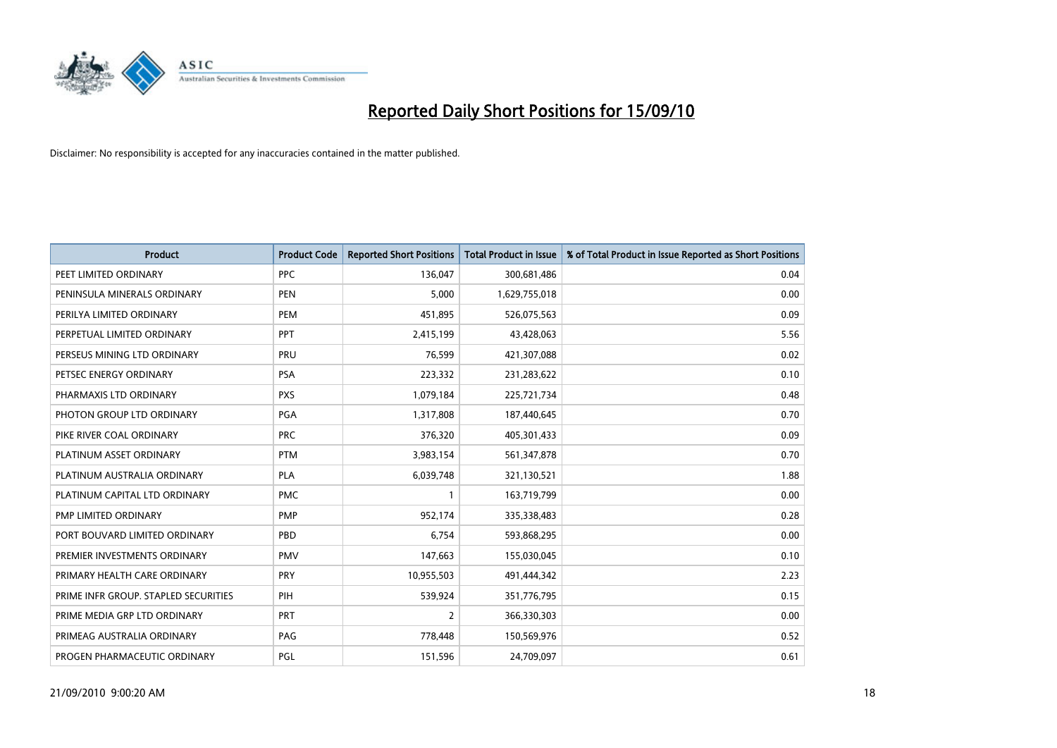

| <b>Product</b>                       | <b>Product Code</b> | <b>Reported Short Positions</b> | Total Product in Issue | % of Total Product in Issue Reported as Short Positions |
|--------------------------------------|---------------------|---------------------------------|------------------------|---------------------------------------------------------|
| PEET LIMITED ORDINARY                | <b>PPC</b>          | 136,047                         | 300,681,486            | 0.04                                                    |
| PENINSULA MINERALS ORDINARY          | <b>PEN</b>          | 5,000                           | 1,629,755,018          | 0.00                                                    |
| PERILYA LIMITED ORDINARY             | PEM                 | 451,895                         | 526,075,563            | 0.09                                                    |
| PERPETUAL LIMITED ORDINARY           | PPT                 | 2,415,199                       | 43,428,063             | 5.56                                                    |
| PERSEUS MINING LTD ORDINARY          | PRU                 | 76,599                          | 421,307,088            | 0.02                                                    |
| PETSEC ENERGY ORDINARY               | <b>PSA</b>          | 223,332                         | 231,283,622            | 0.10                                                    |
| PHARMAXIS LTD ORDINARY               | <b>PXS</b>          | 1,079,184                       | 225,721,734            | 0.48                                                    |
| PHOTON GROUP LTD ORDINARY            | <b>PGA</b>          | 1,317,808                       | 187,440,645            | 0.70                                                    |
| PIKE RIVER COAL ORDINARY             | <b>PRC</b>          | 376,320                         | 405,301,433            | 0.09                                                    |
| PLATINUM ASSET ORDINARY              | <b>PTM</b>          | 3,983,154                       | 561,347,878            | 0.70                                                    |
| PLATINUM AUSTRALIA ORDINARY          | <b>PLA</b>          | 6,039,748                       | 321,130,521            | 1.88                                                    |
| PLATINUM CAPITAL LTD ORDINARY        | <b>PMC</b>          |                                 | 163,719,799            | 0.00                                                    |
| PMP LIMITED ORDINARY                 | <b>PMP</b>          | 952,174                         | 335,338,483            | 0.28                                                    |
| PORT BOUVARD LIMITED ORDINARY        | PBD                 | 6.754                           | 593,868,295            | 0.00                                                    |
| PREMIER INVESTMENTS ORDINARY         | <b>PMV</b>          | 147,663                         | 155,030,045            | 0.10                                                    |
| PRIMARY HEALTH CARE ORDINARY         | PRY                 | 10,955,503                      | 491,444,342            | 2.23                                                    |
| PRIME INFR GROUP. STAPLED SECURITIES | PIH                 | 539,924                         | 351,776,795            | 0.15                                                    |
| PRIME MEDIA GRP LTD ORDINARY         | <b>PRT</b>          | $\overline{2}$                  | 366,330,303            | 0.00                                                    |
| PRIMEAG AUSTRALIA ORDINARY           | PAG                 | 778,448                         | 150,569,976            | 0.52                                                    |
| PROGEN PHARMACEUTIC ORDINARY         | PGL                 | 151,596                         | 24,709,097             | 0.61                                                    |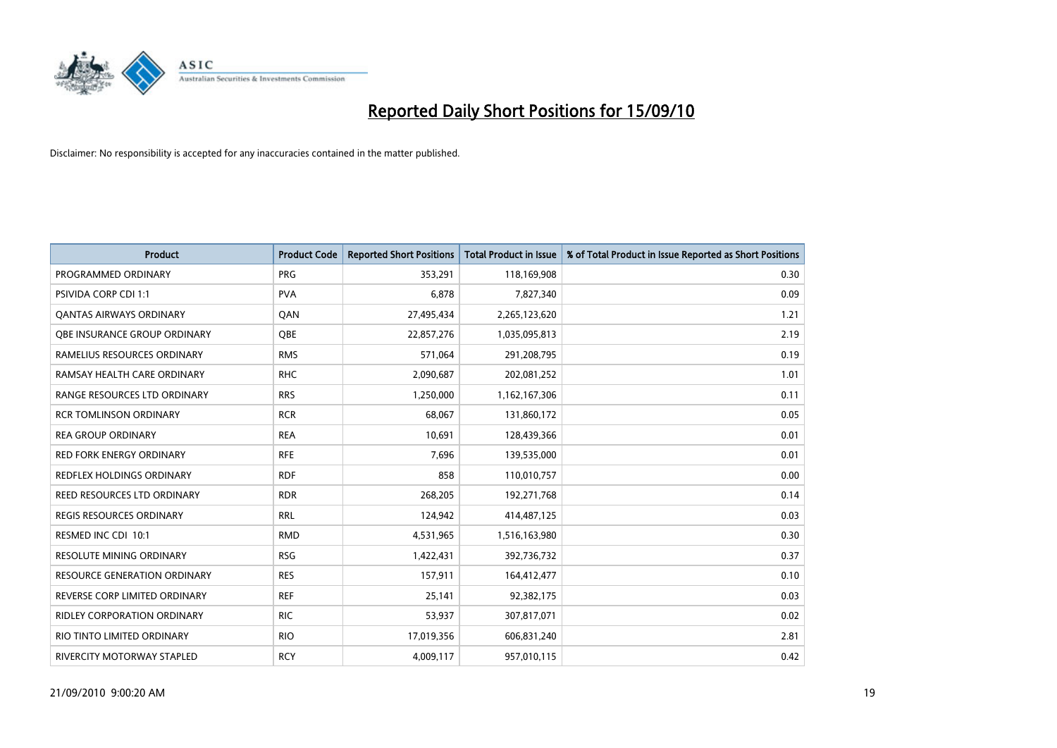

| <b>Product</b>                      | <b>Product Code</b> | <b>Reported Short Positions</b> | Total Product in Issue | % of Total Product in Issue Reported as Short Positions |
|-------------------------------------|---------------------|---------------------------------|------------------------|---------------------------------------------------------|
| PROGRAMMED ORDINARY                 | <b>PRG</b>          | 353,291                         | 118,169,908            | 0.30                                                    |
| PSIVIDA CORP CDI 1:1                | <b>PVA</b>          | 6,878                           | 7,827,340              | 0.09                                                    |
| <b>QANTAS AIRWAYS ORDINARY</b>      | QAN                 | 27,495,434                      | 2,265,123,620          | 1.21                                                    |
| OBE INSURANCE GROUP ORDINARY        | <b>OBE</b>          | 22,857,276                      | 1,035,095,813          | 2.19                                                    |
| RAMELIUS RESOURCES ORDINARY         | <b>RMS</b>          | 571,064                         | 291,208,795            | 0.19                                                    |
| RAMSAY HEALTH CARE ORDINARY         | <b>RHC</b>          | 2,090,687                       | 202,081,252            | 1.01                                                    |
| RANGE RESOURCES LTD ORDINARY        | <b>RRS</b>          | 1,250,000                       | 1,162,167,306          | 0.11                                                    |
| <b>RCR TOMLINSON ORDINARY</b>       | <b>RCR</b>          | 68,067                          | 131,860,172            | 0.05                                                    |
| <b>REA GROUP ORDINARY</b>           | <b>REA</b>          | 10,691                          | 128,439,366            | 0.01                                                    |
| <b>RED FORK ENERGY ORDINARY</b>     | <b>RFE</b>          | 7,696                           | 139,535,000            | 0.01                                                    |
| REDFLEX HOLDINGS ORDINARY           | <b>RDF</b>          | 858                             | 110,010,757            | 0.00                                                    |
| REED RESOURCES LTD ORDINARY         | <b>RDR</b>          | 268,205                         | 192,271,768            | 0.14                                                    |
| REGIS RESOURCES ORDINARY            | <b>RRL</b>          | 124,942                         | 414,487,125            | 0.03                                                    |
| RESMED INC CDI 10:1                 | <b>RMD</b>          | 4,531,965                       | 1,516,163,980          | 0.30                                                    |
| <b>RESOLUTE MINING ORDINARY</b>     | <b>RSG</b>          | 1,422,431                       | 392,736,732            | 0.37                                                    |
| <b>RESOURCE GENERATION ORDINARY</b> | <b>RES</b>          | 157,911                         | 164,412,477            | 0.10                                                    |
| REVERSE CORP LIMITED ORDINARY       | <b>REF</b>          | 25,141                          | 92,382,175             | 0.03                                                    |
| RIDLEY CORPORATION ORDINARY         | <b>RIC</b>          | 53,937                          | 307,817,071            | 0.02                                                    |
| RIO TINTO LIMITED ORDINARY          | <b>RIO</b>          | 17,019,356                      | 606,831,240            | 2.81                                                    |
| RIVERCITY MOTORWAY STAPLED          | <b>RCY</b>          | 4,009,117                       | 957,010,115            | 0.42                                                    |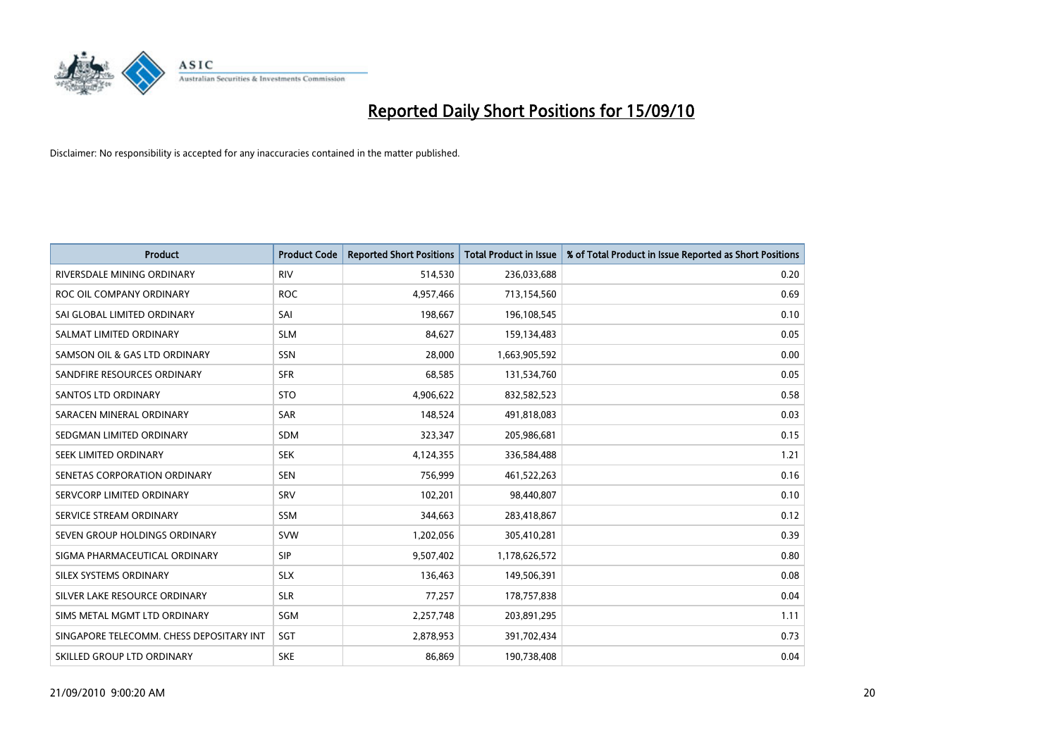

| <b>Product</b>                           | <b>Product Code</b> | <b>Reported Short Positions</b> | <b>Total Product in Issue</b> | % of Total Product in Issue Reported as Short Positions |
|------------------------------------------|---------------------|---------------------------------|-------------------------------|---------------------------------------------------------|
| RIVERSDALE MINING ORDINARY               | <b>RIV</b>          | 514,530                         | 236,033,688                   | 0.20                                                    |
| ROC OIL COMPANY ORDINARY                 | <b>ROC</b>          | 4,957,466                       | 713,154,560                   | 0.69                                                    |
| SAI GLOBAL LIMITED ORDINARY              | SAI                 | 198,667                         | 196,108,545                   | 0.10                                                    |
| SALMAT LIMITED ORDINARY                  | <b>SLM</b>          | 84,627                          | 159,134,483                   | 0.05                                                    |
| SAMSON OIL & GAS LTD ORDINARY            | SSN                 | 28,000                          | 1,663,905,592                 | 0.00                                                    |
| SANDFIRE RESOURCES ORDINARY              | <b>SFR</b>          | 68,585                          | 131,534,760                   | 0.05                                                    |
| <b>SANTOS LTD ORDINARY</b>               | <b>STO</b>          | 4,906,622                       | 832,582,523                   | 0.58                                                    |
| SARACEN MINERAL ORDINARY                 | <b>SAR</b>          | 148,524                         | 491,818,083                   | 0.03                                                    |
| SEDGMAN LIMITED ORDINARY                 | <b>SDM</b>          | 323,347                         | 205,986,681                   | 0.15                                                    |
| SEEK LIMITED ORDINARY                    | <b>SEK</b>          | 4,124,355                       | 336,584,488                   | 1.21                                                    |
| SENETAS CORPORATION ORDINARY             | <b>SEN</b>          | 756,999                         | 461,522,263                   | 0.16                                                    |
| SERVCORP LIMITED ORDINARY                | SRV                 | 102,201                         | 98,440,807                    | 0.10                                                    |
| SERVICE STREAM ORDINARY                  | <b>SSM</b>          | 344,663                         | 283,418,867                   | 0.12                                                    |
| SEVEN GROUP HOLDINGS ORDINARY            | <b>SVW</b>          | 1,202,056                       | 305,410,281                   | 0.39                                                    |
| SIGMA PHARMACEUTICAL ORDINARY            | SIP                 | 9,507,402                       | 1,178,626,572                 | 0.80                                                    |
| SILEX SYSTEMS ORDINARY                   | <b>SLX</b>          | 136,463                         | 149,506,391                   | 0.08                                                    |
| SILVER LAKE RESOURCE ORDINARY            | <b>SLR</b>          | 77,257                          | 178,757,838                   | 0.04                                                    |
| SIMS METAL MGMT LTD ORDINARY             | SGM                 | 2,257,748                       | 203,891,295                   | 1.11                                                    |
| SINGAPORE TELECOMM. CHESS DEPOSITARY INT | SGT                 | 2,878,953                       | 391,702,434                   | 0.73                                                    |
| SKILLED GROUP LTD ORDINARY               | <b>SKE</b>          | 86,869                          | 190,738,408                   | 0.04                                                    |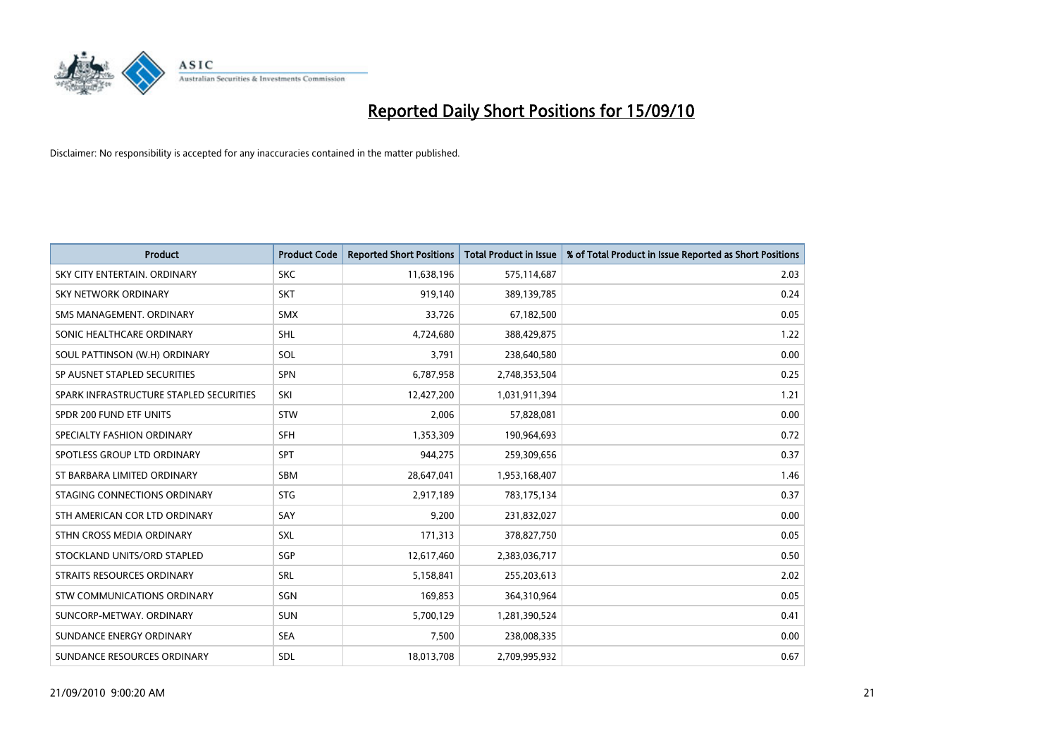

| <b>Product</b>                          | <b>Product Code</b> | <b>Reported Short Positions</b> | <b>Total Product in Issue</b> | % of Total Product in Issue Reported as Short Positions |
|-----------------------------------------|---------------------|---------------------------------|-------------------------------|---------------------------------------------------------|
| SKY CITY ENTERTAIN, ORDINARY            | <b>SKC</b>          | 11,638,196                      | 575,114,687                   | 2.03                                                    |
| SKY NETWORK ORDINARY                    | <b>SKT</b>          | 919,140                         | 389,139,785                   | 0.24                                                    |
| SMS MANAGEMENT. ORDINARY                | <b>SMX</b>          | 33,726                          | 67,182,500                    | 0.05                                                    |
| SONIC HEALTHCARE ORDINARY               | <b>SHL</b>          | 4,724,680                       | 388,429,875                   | 1.22                                                    |
| SOUL PATTINSON (W.H) ORDINARY           | SOL                 | 3,791                           | 238,640,580                   | 0.00                                                    |
| SP AUSNET STAPLED SECURITIES            | <b>SPN</b>          | 6,787,958                       | 2,748,353,504                 | 0.25                                                    |
| SPARK INFRASTRUCTURE STAPLED SECURITIES | SKI                 | 12,427,200                      | 1,031,911,394                 | 1.21                                                    |
| SPDR 200 FUND ETF UNITS                 | <b>STW</b>          | 2,006                           | 57,828,081                    | 0.00                                                    |
| SPECIALTY FASHION ORDINARY              | <b>SFH</b>          | 1,353,309                       | 190,964,693                   | 0.72                                                    |
| SPOTLESS GROUP LTD ORDINARY             | <b>SPT</b>          | 944,275                         | 259,309,656                   | 0.37                                                    |
| ST BARBARA LIMITED ORDINARY             | <b>SBM</b>          | 28,647,041                      | 1,953,168,407                 | 1.46                                                    |
| STAGING CONNECTIONS ORDINARY            | <b>STG</b>          | 2,917,189                       | 783,175,134                   | 0.37                                                    |
| STH AMERICAN COR LTD ORDINARY           | SAY                 | 9,200                           | 231,832,027                   | 0.00                                                    |
| STHN CROSS MEDIA ORDINARY               | SXL                 | 171,313                         | 378,827,750                   | 0.05                                                    |
| STOCKLAND UNITS/ORD STAPLED             | SGP                 | 12,617,460                      | 2,383,036,717                 | 0.50                                                    |
| STRAITS RESOURCES ORDINARY              | SRL                 | 5,158,841                       | 255,203,613                   | 2.02                                                    |
| STW COMMUNICATIONS ORDINARY             | SGN                 | 169,853                         | 364,310,964                   | 0.05                                                    |
| SUNCORP-METWAY, ORDINARY                | <b>SUN</b>          | 5,700,129                       | 1,281,390,524                 | 0.41                                                    |
| SUNDANCE ENERGY ORDINARY                | <b>SEA</b>          | 7,500                           | 238,008,335                   | 0.00                                                    |
| SUNDANCE RESOURCES ORDINARY             | <b>SDL</b>          | 18,013,708                      | 2,709,995,932                 | 0.67                                                    |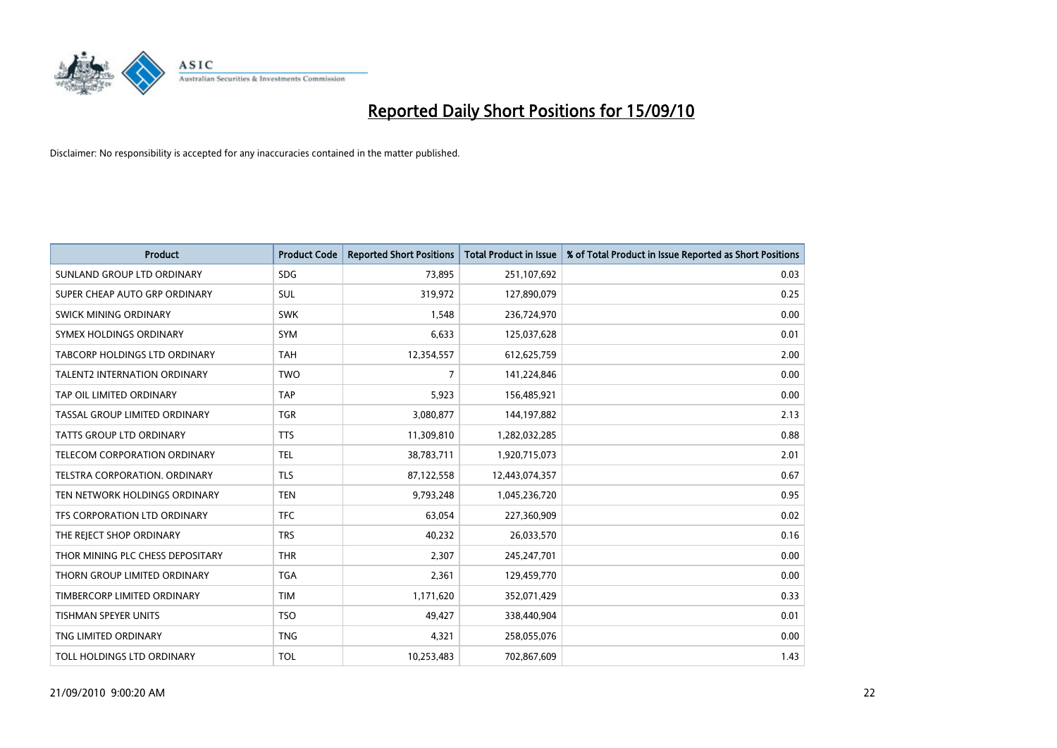

| <b>Product</b>                      | <b>Product Code</b> | <b>Reported Short Positions</b> | <b>Total Product in Issue</b> | % of Total Product in Issue Reported as Short Positions |
|-------------------------------------|---------------------|---------------------------------|-------------------------------|---------------------------------------------------------|
| SUNLAND GROUP LTD ORDINARY          | <b>SDG</b>          | 73,895                          | 251,107,692                   | 0.03                                                    |
| SUPER CHEAP AUTO GRP ORDINARY       | SUL                 | 319,972                         | 127,890,079                   | 0.25                                                    |
| SWICK MINING ORDINARY               | <b>SWK</b>          | 1,548                           | 236,724,970                   | 0.00                                                    |
| SYMEX HOLDINGS ORDINARY             | SYM                 | 6,633                           | 125,037,628                   | 0.01                                                    |
| TABCORP HOLDINGS LTD ORDINARY       | <b>TAH</b>          | 12,354,557                      | 612,625,759                   | 2.00                                                    |
| <b>TALENT2 INTERNATION ORDINARY</b> | <b>TWO</b>          | 7                               | 141,224,846                   | 0.00                                                    |
| TAP OIL LIMITED ORDINARY            | <b>TAP</b>          | 5,923                           | 156,485,921                   | 0.00                                                    |
| TASSAL GROUP LIMITED ORDINARY       | <b>TGR</b>          | 3,080,877                       | 144,197,882                   | 2.13                                                    |
| TATTS GROUP LTD ORDINARY            | <b>TTS</b>          | 11,309,810                      | 1,282,032,285                 | 0.88                                                    |
| TELECOM CORPORATION ORDINARY        | <b>TEL</b>          | 38,783,711                      | 1,920,715,073                 | 2.01                                                    |
| TELSTRA CORPORATION. ORDINARY       | <b>TLS</b>          | 87,122,558                      | 12,443,074,357                | 0.67                                                    |
| TEN NETWORK HOLDINGS ORDINARY       | <b>TEN</b>          | 9,793,248                       | 1,045,236,720                 | 0.95                                                    |
| TFS CORPORATION LTD ORDINARY        | <b>TFC</b>          | 63,054                          | 227,360,909                   | 0.02                                                    |
| THE REJECT SHOP ORDINARY            | <b>TRS</b>          | 40,232                          | 26,033,570                    | 0.16                                                    |
| THOR MINING PLC CHESS DEPOSITARY    | <b>THR</b>          | 2,307                           | 245,247,701                   | 0.00                                                    |
| THORN GROUP LIMITED ORDINARY        | <b>TGA</b>          | 2,361                           | 129,459,770                   | 0.00                                                    |
| TIMBERCORP LIMITED ORDINARY         | <b>TIM</b>          | 1,171,620                       | 352,071,429                   | 0.33                                                    |
| TISHMAN SPEYER UNITS                | <b>TSO</b>          | 49,427                          | 338,440,904                   | 0.01                                                    |
| TNG LIMITED ORDINARY                | <b>TNG</b>          | 4,321                           | 258,055,076                   | 0.00                                                    |
| TOLL HOLDINGS LTD ORDINARY          | <b>TOL</b>          | 10,253,483                      | 702,867,609                   | 1.43                                                    |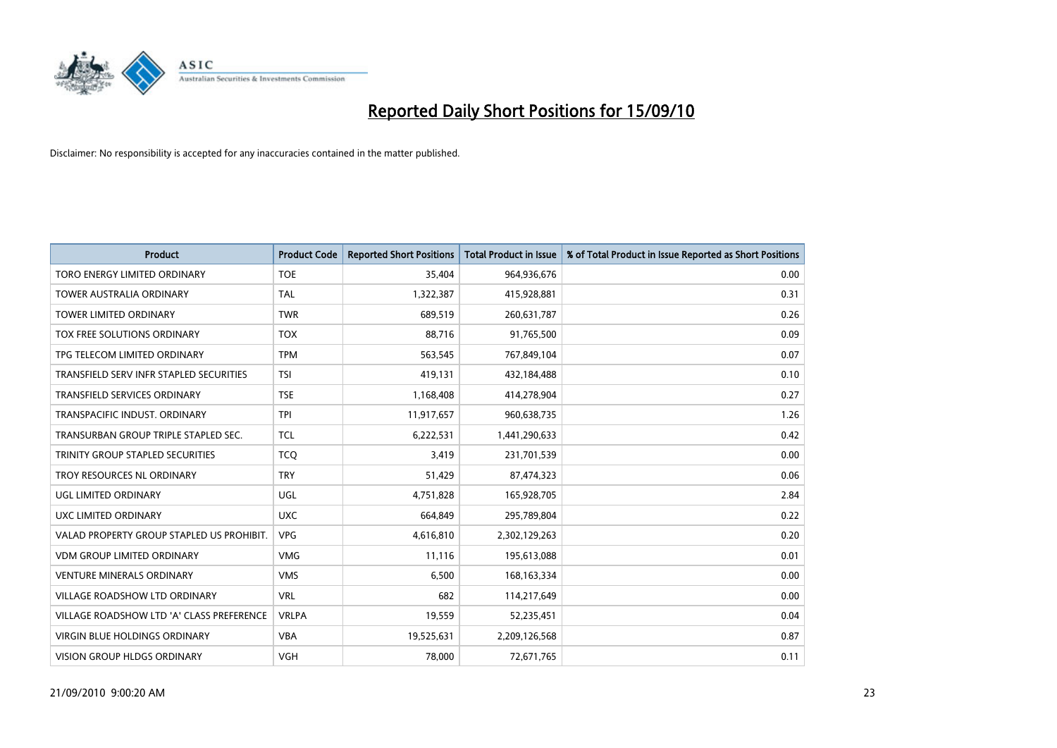

| <b>Product</b>                            | <b>Product Code</b> | <b>Reported Short Positions</b> | Total Product in Issue | % of Total Product in Issue Reported as Short Positions |
|-------------------------------------------|---------------------|---------------------------------|------------------------|---------------------------------------------------------|
| TORO ENERGY LIMITED ORDINARY              | <b>TOE</b>          | 35.404                          | 964,936,676            | 0.00                                                    |
| <b>TOWER AUSTRALIA ORDINARY</b>           | <b>TAL</b>          | 1,322,387                       | 415,928,881            | 0.31                                                    |
| <b>TOWER LIMITED ORDINARY</b>             | <b>TWR</b>          | 689,519                         | 260,631,787            | 0.26                                                    |
| TOX FREE SOLUTIONS ORDINARY               | <b>TOX</b>          | 88,716                          | 91,765,500             | 0.09                                                    |
| TPG TELECOM LIMITED ORDINARY              | <b>TPM</b>          | 563,545                         | 767,849,104            | 0.07                                                    |
| TRANSFIELD SERV INFR STAPLED SECURITIES   | <b>TSI</b>          | 419,131                         | 432,184,488            | 0.10                                                    |
| TRANSFIELD SERVICES ORDINARY              | <b>TSE</b>          | 1,168,408                       | 414,278,904            | 0.27                                                    |
| TRANSPACIFIC INDUST, ORDINARY             | <b>TPI</b>          | 11,917,657                      | 960,638,735            | 1.26                                                    |
| TRANSURBAN GROUP TRIPLE STAPLED SEC.      | <b>TCL</b>          | 6,222,531                       | 1,441,290,633          | 0.42                                                    |
| TRINITY GROUP STAPLED SECURITIES          | <b>TCO</b>          | 3,419                           | 231,701,539            | 0.00                                                    |
| TROY RESOURCES NL ORDINARY                | <b>TRY</b>          | 51,429                          | 87,474,323             | 0.06                                                    |
| UGL LIMITED ORDINARY                      | UGL                 | 4,751,828                       | 165,928,705            | 2.84                                                    |
| UXC LIMITED ORDINARY                      | <b>UXC</b>          | 664,849                         | 295,789,804            | 0.22                                                    |
| VALAD PROPERTY GROUP STAPLED US PROHIBIT. | <b>VPG</b>          | 4,616,810                       | 2,302,129,263          | 0.20                                                    |
| <b>VDM GROUP LIMITED ORDINARY</b>         | <b>VMG</b>          | 11.116                          | 195,613,088            | 0.01                                                    |
| <b>VENTURE MINERALS ORDINARY</b>          | <b>VMS</b>          | 6,500                           | 168, 163, 334          | 0.00                                                    |
| VILLAGE ROADSHOW LTD ORDINARY             | <b>VRL</b>          | 682                             | 114,217,649            | 0.00                                                    |
| VILLAGE ROADSHOW LTD 'A' CLASS PREFERENCE | <b>VRLPA</b>        | 19,559                          | 52,235,451             | 0.04                                                    |
| <b>VIRGIN BLUE HOLDINGS ORDINARY</b>      | <b>VBA</b>          | 19,525,631                      | 2,209,126,568          | 0.87                                                    |
| VISION GROUP HLDGS ORDINARY               | <b>VGH</b>          | 78,000                          | 72,671,765             | 0.11                                                    |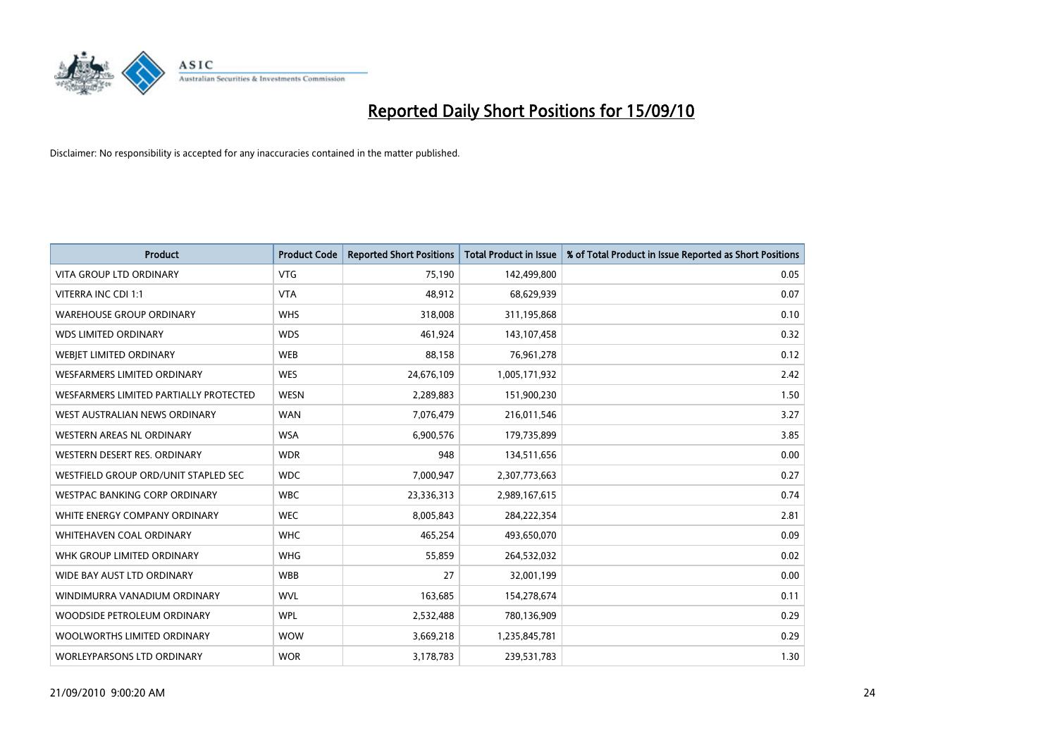

| <b>Product</b>                         | <b>Product Code</b> | <b>Reported Short Positions</b> | <b>Total Product in Issue</b> | % of Total Product in Issue Reported as Short Positions |
|----------------------------------------|---------------------|---------------------------------|-------------------------------|---------------------------------------------------------|
| <b>VITA GROUP LTD ORDINARY</b>         | <b>VTG</b>          | 75,190                          | 142,499,800                   | 0.05                                                    |
| VITERRA INC CDI 1:1                    | <b>VTA</b>          | 48,912                          | 68,629,939                    | 0.07                                                    |
| <b>WAREHOUSE GROUP ORDINARY</b>        | <b>WHS</b>          | 318,008                         | 311,195,868                   | 0.10                                                    |
| <b>WDS LIMITED ORDINARY</b>            | <b>WDS</b>          | 461,924                         | 143,107,458                   | 0.32                                                    |
| WEBIET LIMITED ORDINARY                | <b>WEB</b>          | 88,158                          | 76,961,278                    | 0.12                                                    |
| <b>WESFARMERS LIMITED ORDINARY</b>     | <b>WES</b>          | 24,676,109                      | 1,005,171,932                 | 2.42                                                    |
| WESFARMERS LIMITED PARTIALLY PROTECTED | <b>WESN</b>         | 2,289,883                       | 151,900,230                   | 1.50                                                    |
| WEST AUSTRALIAN NEWS ORDINARY          | <b>WAN</b>          | 7,076,479                       | 216,011,546                   | 3.27                                                    |
| WESTERN AREAS NL ORDINARY              | <b>WSA</b>          | 6,900,576                       | 179,735,899                   | 3.85                                                    |
| WESTERN DESERT RES. ORDINARY           | <b>WDR</b>          | 948                             | 134,511,656                   | 0.00                                                    |
| WESTFIELD GROUP ORD/UNIT STAPLED SEC   | <b>WDC</b>          | 7,000,947                       | 2,307,773,663                 | 0.27                                                    |
| <b>WESTPAC BANKING CORP ORDINARY</b>   | <b>WBC</b>          | 23,336,313                      | 2,989,167,615                 | 0.74                                                    |
| WHITE ENERGY COMPANY ORDINARY          | <b>WEC</b>          | 8,005,843                       | 284,222,354                   | 2.81                                                    |
| <b>WHITEHAVEN COAL ORDINARY</b>        | <b>WHC</b>          | 465,254                         | 493,650,070                   | 0.09                                                    |
| WHK GROUP LIMITED ORDINARY             | <b>WHG</b>          | 55,859                          | 264,532,032                   | 0.02                                                    |
| WIDE BAY AUST LTD ORDINARY             | <b>WBB</b>          | 27                              | 32,001,199                    | 0.00                                                    |
| WINDIMURRA VANADIUM ORDINARY           | <b>WVL</b>          | 163,685                         | 154,278,674                   | 0.11                                                    |
| WOODSIDE PETROLEUM ORDINARY            | <b>WPL</b>          | 2,532,488                       | 780,136,909                   | 0.29                                                    |
| WOOLWORTHS LIMITED ORDINARY            | <b>WOW</b>          | 3,669,218                       | 1,235,845,781                 | 0.29                                                    |
| WORLEYPARSONS LTD ORDINARY             | <b>WOR</b>          | 3,178,783                       | 239,531,783                   | 1.30                                                    |